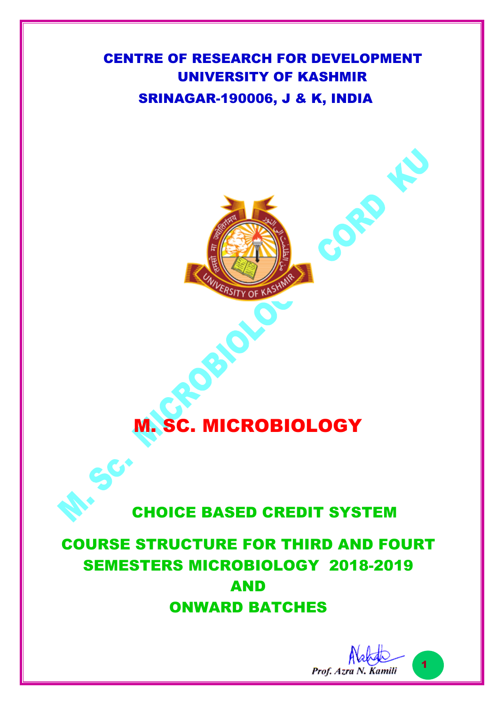# CENTRE OF RESEARCH FOR DEVELOPMENT UNIVERSITY OF KASHMIR SRINAGAR-190006, J & K, INDIA



# M. SC. MICROBIOLOGY

# CHOICE BASED CREDIT SYSTEM

# COURSE STRUCTURE FOR THIRD AND FOURT SEMESTERS MICROBIOLOGY 2018-2019 AND ONWARD BATCHES

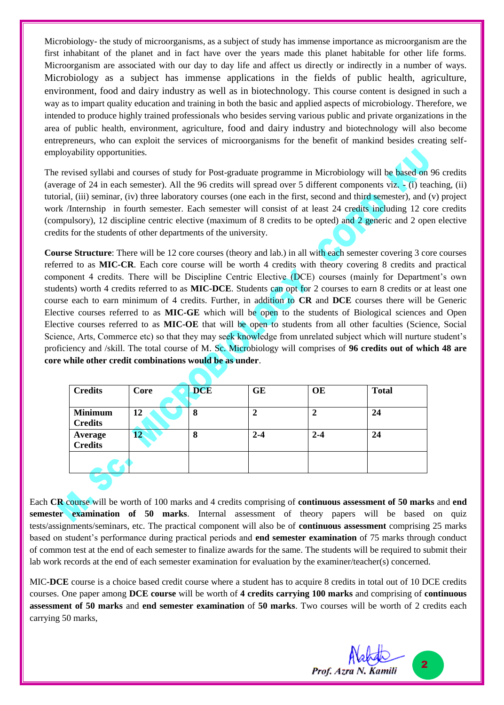Microbiology- the study of microorganisms, as a subject of study has immense importance as microorganism are the first inhabitant of the planet and in fact have over the years made this planet habitable for other life forms. Microorganism are associated with our day to day life and affect us directly or indirectly in a number of ways. Microbiology as a subject has immense applications in the fields of public health, agriculture, environment, food and dairy industry as well as in biotechnology. This course content is designed in such a way as to impart quality education and training in both the basic and applied aspects of microbiology. Therefore, we intended to produce highly trained professionals who besides serving various public and private organizations in the area of public health, environment, agriculture, food and dairy industry and biotechnology will also become entrepreneurs, who can exploit the services of microorganisms for the benefit of mankind besides creating selfemployability opportunities.

The revised syllabi and courses of study for Post-graduate programme in Microbiology will be based on 96 credits (average of 24 in each semester). All the 96 credits will spread over 5 different components viz. - (i) teaching, (ii) tutorial, (iii) seminar, (iv) three laboratory courses (one each in the first, second and third semester), and (v) project work /Internship in fourth semester. Each semester will consist of at least 24 credits including 12 core credits (compulsory), 12 discipline centric elective (maximum of 8 credits to be opted) and 2 generic and 2 open elective credits for the students of other departments of the university.

**Course Structure**: There will be 12 core courses (theory and lab.) in all with each semester covering 3 core courses referred to as **MIC-CR**. Each core course will be worth 4 credits with theory covering 8 credits and practical component 4 credits. There will be Discipline Centric Elective (DCE) courses (mainly for Department's own students) worth 4 credits referred to as **MIC-DCE**. Students can opt for 2 courses to earn 8 credits or at least one course each to earn minimum of 4 credits. Further, in addition to **CR** and **DCE** courses there will be Generic Elective courses referred to as **MIC-GE** which will be open to the students of Biological sciences and Open Elective courses referred to as **MIC-OE** that will be open to students from all other faculties (Science, Social Science, Arts, Commerce etc) so that they may seek knowledge from unrelated subject which will nurture student's proficiency and /skill. The total course of M. Sc. Microbiology will comprises of **96 credits out of which 48 are core while other credit combinations would be as under**.

| <b>Credits</b>                   | Core | <b>DCE</b> | GE      | <b>OE</b> | <b>Total</b> |
|----------------------------------|------|------------|---------|-----------|--------------|
| <b>Minimum</b><br><b>Credits</b> | 12   | 8          | 2       | 2         | 24           |
| <b>Average</b><br>Credits        | 12   | 8          | $2 - 4$ | $2 - 4$   | 24           |
|                                  |      |            |         |           |              |

Each **CR** course will be worth of 100 marks and 4 credits comprising of **continuous assessment of 50 marks** and **end semester examination of 50 marks**. Internal assessment of theory papers will be based on quiz tests/assignments/seminars, etc. The practical component will also be of **continuous assessment** comprising 25 marks based on student's performance during practical periods and **end semester examination** of 75 marks through conduct of common test at the end of each semester to finalize awards for the same. The students will be required to submit their lab work records at the end of each semester examination for evaluation by the examiner/teacher(s) concerned.

MIC**-DCE** course is a choice based credit course where a student has to acquire 8 credits in total out of 10 DCE credits courses. One paper among **DCE course** will be worth of **4 credits carrying 100 marks** and comprising of **continuous assessment of 50 marks** and **end semester examination** of **50 marks**. Two courses will be worth of 2 credits each carrying 50 marks,

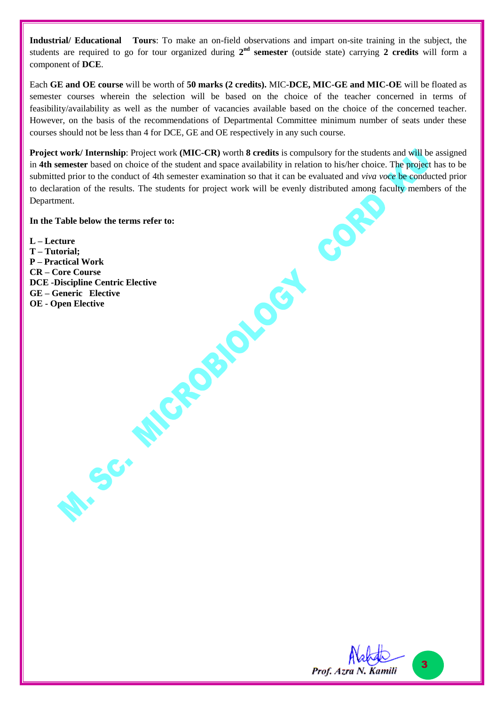**Industrial/ Educational Tours**: To make an on-field observations and impart on-site training in the subject, the students are required to go for tour organized during  $2^{nd}$  **semester** (outside state) carrying 2 credits will form a component of **DCE**.

Each **GE and OE course** will be worth of **50 marks (2 credits).** MIC**-DCE, MIC-GE and MIC-OE** will be floated as semester courses wherein the selection will be based on the choice of the teacher concerned in terms of feasibility/availability as well as the number of vacancies available based on the choice of the concerned teacher. However, on the basis of the recommendations of Departmental Committee minimum number of seats under these courses should not be less than 4 for DCE, GE and OE respectively in any such course.

**Project work/ Internship**: Project work **(MIC-CR)** worth **8 credits** is compulsory for the students and will be assigned in **4th semester** based on choice of the student and space availability in relation to his/her choice. The project has to be submitted prior to the conduct of 4th semester examination so that it can be evaluated and *viva voce* be conducted prior to declaration of the results. The students for project work will be evenly distributed among faculty members of the Department.

#### **In the Table below the terms refer to:**

**L – Lecture T – Tutorial; P – Practical Work CR – Core Course** DCE - Discipline Centric Elective<br>GE - Generic Elective<br>OE - Open Elective<br>**DCE - Open Elective GE – Generic Elective OE - Open Elective**

SC.

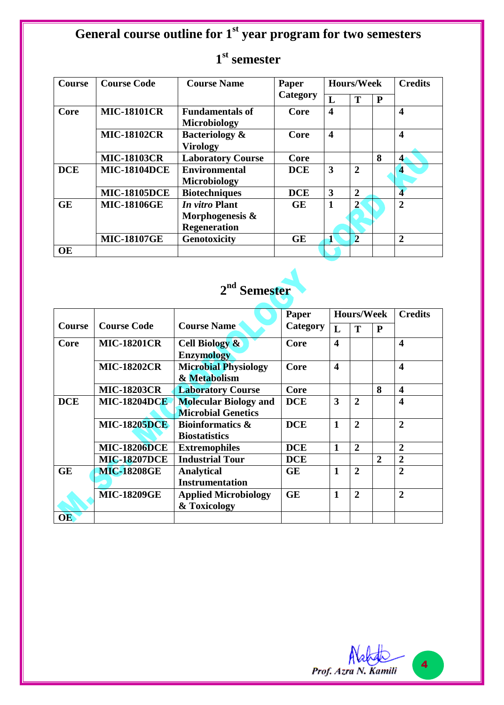# **General course outline for 1st year program for two semesters**

| <b>Course</b> | <b>Course Code</b>  | <b>Course Name</b>        | Paper      | <b>Hours/Week</b>       |                |              | <b>Credits</b>          |
|---------------|---------------------|---------------------------|------------|-------------------------|----------------|--------------|-------------------------|
|               |                     |                           | Category   | L                       | T              | $\mathbf{P}$ |                         |
| Core          | <b>MIC-18101CR</b>  | <b>Fundamentals of</b>    | Core       | $\overline{\mathbf{4}}$ |                |              | $\overline{\mathbf{4}}$ |
|               |                     | <b>Microbiology</b>       |            |                         |                |              |                         |
|               | <b>MIC-18102CR</b>  | <b>Bacteriology &amp;</b> | Core       | 4                       |                |              | 4                       |
|               |                     | <b>Virology</b>           |            |                         |                |              |                         |
|               | <b>MIC-18103CR</b>  | <b>Laboratory Course</b>  | Core       |                         |                | 8            | $\overline{\mathbf{4}}$ |
| <b>DCE</b>    | <b>MIC-18104DCE</b> | <b>Environmental</b>      | <b>DCE</b> | 3                       | $\overline{2}$ |              | 4                       |
|               |                     | <b>Microbiology</b>       |            |                         |                |              |                         |
|               | <b>MIC-18105DCE</b> | <b>Biotechniques</b>      | <b>DCE</b> | 3                       | $\overline{2}$ |              | $\overline{\mathbf{4}}$ |
| <b>GE</b>     | <b>MIC-18106GE</b>  | <i>In vitro</i> Plant     | <b>GE</b>  | 1                       |                |              | $\mathbf 2$             |
|               |                     | Morphogenesis &           |            |                         |                |              |                         |
|               |                     | <b>Regeneration</b>       |            |                         |                |              |                         |
|               | <b>MIC-18107GE</b>  | Genotoxicity              | <b>GE</b>  | $\mathbf{1}$            | $\overline{2}$ |              | $\overline{2}$          |
| <b>OE</b>     |                     |                           |            |                         |                |              |                         |

# **1 st semester**

# **2 nd Semester**

|               |                     |                              | Paper      | <b>Hours/Week</b> |                |                | <b>Credits</b>          |
|---------------|---------------------|------------------------------|------------|-------------------|----------------|----------------|-------------------------|
| <b>Course</b> | <b>Course Code</b>  | <b>Course Name</b>           | Category   | L                 | T              | P              |                         |
| Core          | <b>MIC-18201CR</b>  | <b>Cell Biology &amp;</b>    | Core       | 4                 |                |                | $\overline{\mathbf{4}}$ |
|               |                     | <b>Enzymology</b>            |            |                   |                |                |                         |
|               | <b>MIC-18202CR</b>  | <b>Microbial Physiology</b>  | Core       | 4                 |                |                | $\overline{\mathbf{4}}$ |
|               |                     | & Metabolism                 |            |                   |                |                |                         |
|               | <b>MIC-18203CR</b>  | <b>Laboratory Course</b>     | Core       |                   |                | 8              | $\overline{\mathbf{4}}$ |
| <b>DCE</b>    | <b>MIC-18204DCE</b> | <b>Molecular Biology and</b> | <b>DCE</b> | 3                 | $\overline{2}$ |                | $\boldsymbol{4}$        |
|               |                     | <b>Microbial Genetics</b>    |            |                   |                |                |                         |
|               | <b>MIC-18205DCE</b> | <b>Bioinformatics &amp;</b>  | <b>DCE</b> | $\mathbf{1}$      | $\overline{2}$ |                | $\overline{2}$          |
|               |                     | <b>Biostatistics</b>         |            |                   |                |                |                         |
|               | <b>MIC-18206DCE</b> | <b>Extremophiles</b>         | <b>DCE</b> | 1                 | $\mathbf 2$    |                | $\overline{2}$          |
|               | <b>MIC-18207DCE</b> | <b>Industrial Tour</b>       | <b>DCE</b> |                   |                | $\overline{2}$ | $\overline{2}$          |
| <b>GE</b>     | <b>MIC-18208GE</b>  | <b>Analytical</b>            | <b>GE</b>  | $\mathbf{1}$      | $\overline{2}$ |                | $\overline{2}$          |
|               |                     | <b>Instrumentation</b>       |            |                   |                |                |                         |
|               | <b>MIC-18209GE</b>  | <b>Applied Microbiology</b>  | <b>GE</b>  | 1                 | $\overline{2}$ |                | $\overline{2}$          |
|               |                     | & Toxicology                 |            |                   |                |                |                         |
| <b>OE</b>     |                     |                              |            |                   |                |                |                         |

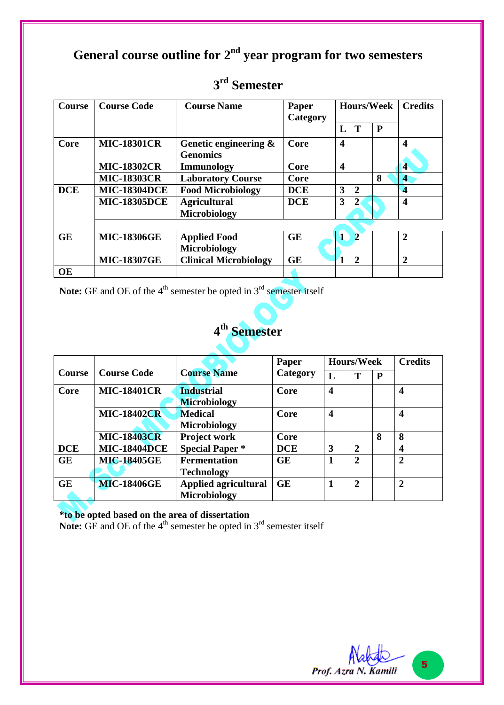# **General course outline for 2 nd year program for two semesters**

| <b>Course</b> | <b>Course Code</b>  | <b>Course Name</b>                       | Paper<br>Category | <b>Hours/Week</b>       |                | <b>Credits</b> |                         |
|---------------|---------------------|------------------------------------------|-------------------|-------------------------|----------------|----------------|-------------------------|
|               |                     |                                          |                   | L                       | T              | $\mathbf{P}$   |                         |
| Core          | <b>MIC-18301CR</b>  | Genetic engineering &<br><b>Genomics</b> | Core              | $\boldsymbol{4}$        |                |                | 4                       |
|               | <b>MIC-18302CR</b>  | Immunology                               | Core              | $\overline{\mathbf{4}}$ |                |                | $\blacktriangleleft$    |
|               | <b>MIC-18303CR</b>  | <b>Laboratory Course</b>                 | Core              |                         |                | 8              | 4                       |
| <b>DCE</b>    | <b>MIC-18304DCE</b> | <b>Food Microbiology</b>                 | <b>DCE</b>        | 3                       | $\overline{2}$ |                | 4                       |
|               | <b>MIC-18305DCE</b> | <b>Agricultural</b><br>Microbiology      | <b>DCE</b>        | 3                       | $\overline{2}$ |                | $\overline{\mathbf{4}}$ |
|               |                     |                                          |                   |                         |                |                |                         |
| <b>GE</b>     | <b>MIC-18306GE</b>  | <b>Applied Food</b><br>Microbiology      | <b>GE</b>         |                         | $\overline{2}$ |                | $\overline{2}$          |
|               | <b>MIC-18307GE</b>  | <b>Clinical Microbiology</b>             | <b>GE</b>         | $\mathbf{1}$            | $\overline{2}$ |                | $\overline{2}$          |
| <b>OE</b>     |                     |                                          |                   |                         |                |                |                         |

# **3 rd Semester**

Note: GE and OE of the 4<sup>th</sup> semester be opted in 3<sup>rd</sup> semester itself



|                     |                             | Paper              | <b>Hours/Week</b> |                |   | <b>Credits</b>          |
|---------------------|-----------------------------|--------------------|-------------------|----------------|---|-------------------------|
|                     |                             |                    | L                 | Т              | P |                         |
| <b>MIC-18401CR</b>  | <b>Industrial</b>           | Core               | 4                 |                |   | $\boldsymbol{4}$        |
|                     | <b>Microbiology</b>         |                    |                   |                |   |                         |
| <b>MIC-18402CR</b>  | <b>Medical</b>              | Core               | 4                 |                |   | $\overline{\mathbf{4}}$ |
|                     | <b>Microbiology</b>         |                    |                   |                |   |                         |
| <b>MIC-18403CR</b>  | <b>Project work</b>         | Core               |                   |                | 8 | 8                       |
| <b>MIC-18404DCE</b> | <b>Special Paper *</b>      | <b>DCE</b>         | 3                 | $\overline{2}$ |   | $\boldsymbol{4}$        |
| <b>MIC-18405GE</b>  | <b>Fermentation</b>         | <b>GE</b>          |                   | $\overline{2}$ |   | $\mathbf 2$             |
|                     | <b>Technology</b>           |                    |                   |                |   |                         |
| <b>MIC-18406GE</b>  | <b>Applied agricultural</b> | <b>GE</b>          |                   | $\overline{2}$ |   | $\overline{2}$          |
|                     | <b>Microbiology</b>         |                    |                   |                |   |                         |
|                     | <b>Course Code</b>          | <b>Course Name</b> | Category          |                |   |                         |

**\*to be opted based on the area of dissertation**

**Note:** GE and OE of the  $4<sup>th</sup>$  semester be opted in  $3<sup>rd</sup>$  semester itself

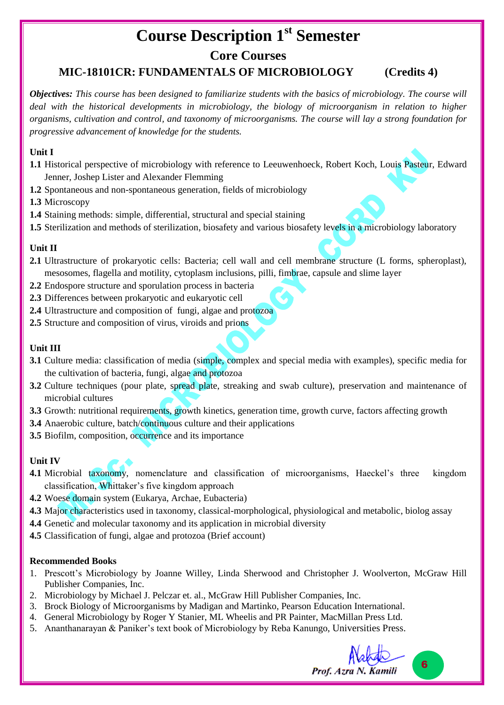# **Course Description 1st Semester**

## **Core Courses**

## **MIC-18101CR: FUNDAMENTALS OF MICROBIOLOGY (Credits 4)**

*Objectives: This course has been designed to familiarize students with the basics of microbiology. The course will deal with the historical developments in microbiology, the biology of microorganism in relation to higher organisms, cultivation and control, and taxonomy of microorganisms. The course will lay a strong foundation for progressive advancement of knowledge for the students.*

#### **Unit I**

- **1.1** Historical perspective of microbiology with reference to Leeuwenhoeck, Robert Koch, Louis Pasteur, Edward Jenner, Joshep Lister and Alexander Flemming
- **1.2** Spontaneous and non-spontaneous generation, fields of microbiology

**1.3** Microscopy

- **1.4** Staining methods: simple, differential, structural and special staining
- **1.5** Sterilization and methods of sterilization, biosafety and various biosafety levels in a microbiology laboratory

#### **Unit II**

- **2.1** Ultrastructure of prokaryotic cells: Bacteria; cell wall and cell membrane structure (L forms, spheroplast), mesosomes, flagella and motility, cytoplasm inclusions, pilli, fimbrae, capsule and slime layer
- **2.2** Endospore structure and sporulation process in bacteria
- **2.3** Differences between prokaryotic and eukaryotic cell
- **2.4** Ultrastructure and composition of fungi, algae and protozoa
- **2.5** Structure and composition of virus, viroids and prions

#### **Unit III**

- **3.1** Culture media: classification of media (simple, complex and special media with examples), specific media for the cultivation of bacteria, fungi, algae and protozoa
- **3.2** Culture techniques (pour plate, spread plate, streaking and swab culture), preservation and maintenance of microbial cultures
- **3.3** Growth: nutritional requirements, growth kinetics, generation time, growth curve, factors affecting growth
- **3.4** Anaerobic culture, batch/continuous culture and their applications
- **3.5** Biofilm, composition, occurrence and its importance

#### **Unit IV**

- **4.1** Microbial taxonomy, nomenclature and classification of microorganisms, Haeckel's three kingdom classification, Whittaker's five kingdom approach
- **4.2** Woese domain system (Eukarya, Archae, Eubacteria)
- **4.3** Major characteristics used in taxonomy, classical-morphological, physiological and metabolic, biolog assay
- **4.4** Genetic and molecular taxonomy and its application in microbial diversity
- **4.5** Classification of fungi, algae and protozoa (Brief account)

- 1. Prescott's Microbiology by Joanne Willey, Linda Sherwood and Christopher J. Woolverton, McGraw Hill Publisher Companies, Inc.
- 2. Microbiology by Michael J. Pelczar et. al., McGraw Hill Publisher Companies, Inc.
- 3. Brock Biology of Microorganisms by Madigan and Martinko, Pearson Education International.
- 4. General Microbiology by Roger Y Stanier, ML Wheelis and PR Painter, MacMillan Press Ltd.
- 5. Ananthanarayan & Paniker's text book of Microbiology by Reba Kanungo, Universities Press.

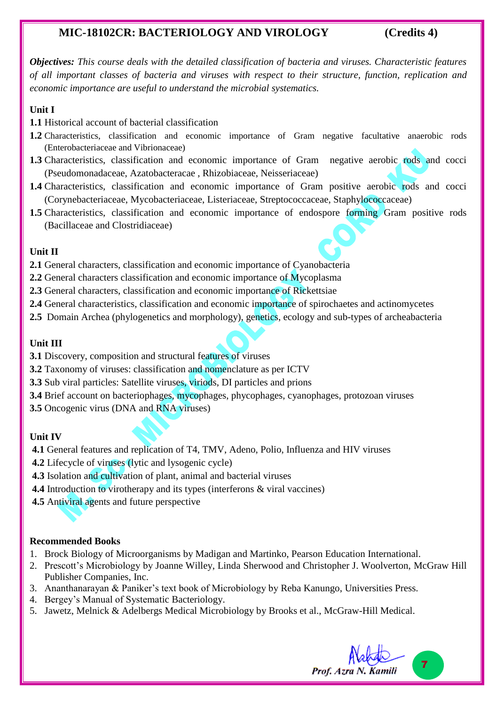### **MIC-18102CR: BACTERIOLOGY AND VIROLOGY (Credits 4)**

*Objectives: This course deals with the detailed classification of bacteria and viruses. Characteristic features of all important classes of bacteria and viruses with respect to their structure, function, replication and economic importance are useful to understand the microbial systematics.* 

#### **Unit I**

- **1.1** Historical account of bacterial classification
- **1.2** Characteristics, classification and economic importance of Gram negative facultative anaerobic rods (Enterobacteriaceae and Vibrionaceae)
- **1.3** Characteristics, classification and economic importance of Gram negative aerobic rods and cocci (Pseudomonadaceae, Azatobacteracae , Rhizobiaceae, Neisseriaceae)
- **1.4** Characteristics, classification and economic importance of Gram positive aerobic rods and cocci (Corynebacteriaceae, Mycobacteriaceae, Listeriaceae, Streptococcaceae, Staphylococcaceae)
- **1.5** Characteristics, classification and economic importance of endospore forming Gram positive rods (Bacillaceae and Clostridiaceae)

#### **Unit II**

- **2.1** General characters, classification and economic importance of Cyanobacteria
- **2.2** General characters classification and economic importance of Mycoplasma
- **2.3** General characters, classification and economic importance of Rickettsiae
- **2.4** General characteristics, classification and economic importance of spirochaetes and actinomycetes
- **2.5** Domain Archea (phylogenetics and morphology), genetics, ecology and sub-types of archeabacteria

#### **Unit III**

- **3.1** Discovery, composition and structural features of viruses
- **3.2** Taxonomy of viruses: classification and nomenclature as per ICTV
- **3.3** Sub viral particles: Satellite viruses, viriods, DI particles and prions
- **3.4** Brief account on bacteriophages, mycophages, phycophages, cyanophages, protozoan viruses
- **3.5** Oncogenic virus (DNA and RNA viruses)

#### **Unit IV**

- **4.1** General features and replication of T4, TMV, Adeno, Polio, Influenza and HIV viruses
- **4.2** Lifecycle of viruses (lytic and lysogenic cycle)
- **4.3** Isolation and cultivation of plant, animal and bacterial viruses
- **4.4** Introduction to virotherapy and its types (interferons & viral vaccines)
- **4.5** Antiviral agents and future perspective

- 1. Brock Biology of Microorganisms by Madigan and Martinko, Pearson Education International.
- 2. Prescott's Microbiology by Joanne Willey, Linda Sherwood and Christopher J. Woolverton, McGraw Hill Publisher Companies, Inc.
- 3. Ananthanarayan & Paniker's text book of Microbiology by Reba Kanungo, Universities Press.
- 4. Bergey's Manual of Systematic Bacteriology.
- 5. Jawetz, Melnick & Adelbergs Medical Microbiology by Brooks et al., McGraw-Hill Medical.

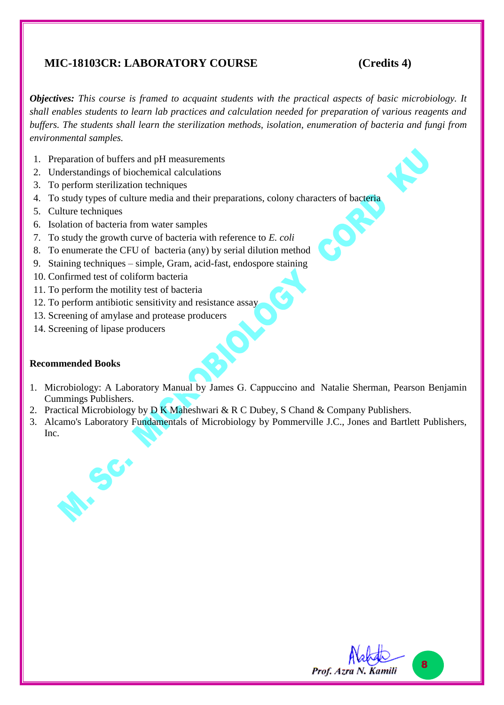### **MIC-18103CR: LABORATORY COURSE (Credits 4)**

*Objectives: This course is framed to acquaint students with the practical aspects of basic microbiology. It shall enables students to learn lab practices and calculation needed for preparation of various reagents and buffers. The students shall learn the sterilization methods, isolation, enumeration of bacteria and fungi from environmental samples.*

- 1. Preparation of buffers and pH measurements
- 2. Understandings of biochemical calculations
- 3. To perform sterilization techniques
- 4. To study types of culture media and their preparations, colony characters of bacteria
- 5. Culture techniques
- 6. Isolation of bacteria from water samples
- 7. To study the growth curve of bacteria with reference to *E. coli*
- 8. To enumerate the CFU of bacteria (any) by serial dilution method
- 9. Staining techniques simple, Gram, acid-fast, endospore staining
- 10. Confirmed test of coliform bacteria
- 11. To perform the motility test of bacteria
- 12. To perform antibiotic sensitivity and resistance assay
- 13. Screening of amylase and protease producers
- 14. Screening of lipase producers

- 1. Microbiology: A Laboratory Manual by James G. Cappuccino and Natalie Sherman, Pearson Benjamin Cummings Publishers.
- 2. Practical Microbiology by D K Maheshwari & R C Dubey, S Chand & Company Publishers.
- 3. Alcamo's Laboratory Fundamentals of Microbiology by Pommerville J.C., Jones and Bartlett Publishers, Inc.



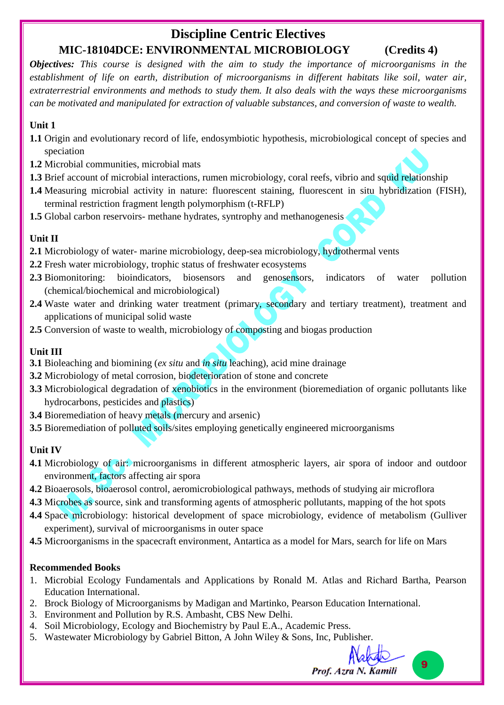# **Discipline Centric Electives MIC-18104DCE: ENVIRONMENTAL MICROBIOLOGY (Credits 4)**

*Objectives: This course is designed with the aim to study the importance of microorganisms in the establishment of life on earth, distribution of microorganisms in different habitats like soil, water air, extraterrestrial environments and methods to study them. It also deals with the ways these microorganisms can be motivated and manipulated for extraction of valuable substances, and conversion of waste to wealth.*

#### **Unit 1**

- **1.1** Origin and evolutionary record of life, endosymbiotic hypothesis, microbiological concept of species and speciation
- **1.2** Microbial communities, microbial mats
- **1.3** Brief account of microbial interactions, rumen microbiology, coral reefs, vibrio and squid relationship
- **1.4** Measuring microbial activity in nature: fluorescent staining, fluorescent in situ hybridization (FISH), terminal restriction fragment length polymorphism (t-RFLP)
- **1.5** Global carbon reservoirs- methane hydrates, syntrophy and methanogenesis

#### **Unit II**

- **2.1** Microbiology of water- marine microbiology, deep-sea microbiology, hydrothermal vents
- **2.2** Fresh water microbiology, trophic status of freshwater ecosystems
- **2.3** Biomonitoring: bioindicators, biosensors and genosensors, indicators of water pollution (chemical/biochemical and microbiological)
- **2.4** Waste water and drinking water treatment (primary, secondary and tertiary treatment), treatment and applications of municipal solid waste
- **2.5** Conversion of waste to wealth, microbiology of composting and biogas production

#### **Unit III**

- **3.1** Bioleaching and biomining (*ex situ* and *in situ* leaching), acid mine drainage
- **3.2** Microbiology of metal corrosion, biodeterioration of stone and concrete
- **3.3** Microbiological degradation of xenobiotics in the environment (bioremediation of organic pollutants like hydrocarbons, pesticides and plastics)
- **3.4** Bioremediation of heavy metals (mercury and arsenic)
- **3.5** Bioremediation of polluted soils/sites employing genetically engineered microorganisms

#### **Unit IV**

- **4.1** Microbiology of air: microorganisms in different atmospheric layers, air spora of indoor and outdoor environment, factors affecting air spora
- **4.2** Bioaerosols, bioaerosol control, aeromicrobiological pathways, methods of studying air microflora
- **4.3** Microbes as source, sink and transforming agents of atmospheric pollutants, mapping of the hot spots
- **4.4** Space microbiology: historical development of space microbiology, evidence of metabolism (Gulliver experiment), survival of microorganisms in outer space
- **4.5** Microorganisms in the spacecraft environment, Antartica as a model for Mars, search for life on Mars

- 1. Microbial Ecology Fundamentals and Applications by Ronald M. Atlas and Richard Bartha, Pearson Education International.
- 2. Brock Biology of Microorganisms by Madigan and Martinko, Pearson Education International.
- 3. Environment and Pollution by R.S. Ambasht, CBS New Delhi.
- 4. Soil Microbiology, Ecology and Biochemistry by Paul E.A., Academic Press.
- 5. Wastewater Microbiology by Gabriel Bitton, A John Wiley & Sons, Inc, Publisher.

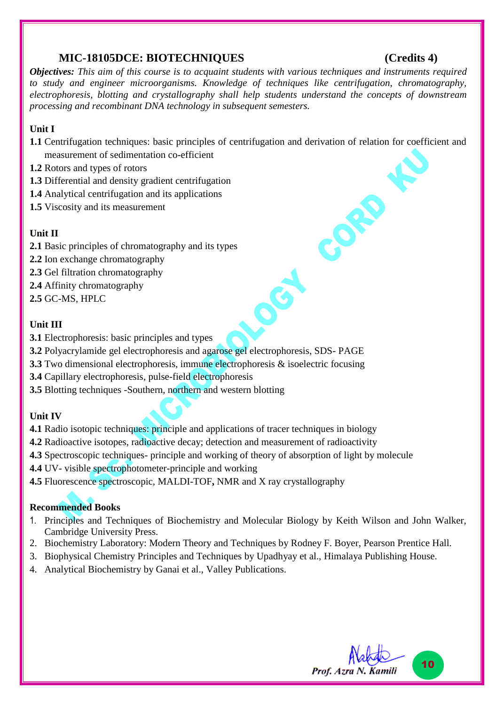#### **MIC-18105DCE: BIOTECHNIQUES (Credits 4)**

CORD

*Objectives: This aim of this course is to acquaint students with various techniques and instruments required to study and engineer microorganisms. Knowledge of techniques like centrifugation, chromatography, electrophoresis, blotting and crystallography shall help students understand the concepts of downstream processing and recombinant DNA technology in subsequent semesters.*

#### **Unit I**

**1.1** Centrifugation techniques: basic principles of centrifugation and derivation of relation for coefficient and measurement of sedimentation co-efficient

SET

- **1.2** Rotors and types of rotors
- **1.3** Differential and density gradient centrifugation
- **1.4** Analytical centrifugation and its applications
- **1.5** Viscosity and its measurement

#### **Unit II**

- **2.1** Basic principles of chromatography and its types
- **2.2** Ion exchange chromatography
- **2.3** Gel filtration chromatography
- **2.4** Affinity chromatography
- **2.5** GC-MS, HPLC

#### **Unit III**

- **3.1** Electrophoresis: basic principles and types
- **3.2** Polyacrylamide gel electrophoresis and agarose gel electrophoresis, SDS- PAGE
- **3.3** Two dimensional electrophoresis, immune electrophoresis & isoelectric focusing
- **3.4** Capillary electrophoresis, pulse-field electrophoresis
- **3.5** Blotting techniques -Southern, northern and western blotting

#### **Unit IV**

- **4.1** Radio isotopic techniques: principle and applications of tracer techniques in biology
- **4.2** Radioactive isotopes, radioactive decay; detection and measurement of radioactivity
- **4.3** Spectroscopic techniques- principle and working of theory of absorption of light by molecule
- **4.4** UV- visible spectrophotometer-principle and working
- **4.5** Fluorescence spectroscopic, MALDI-TOF**,** NMR and X ray crystallography

- 1. Principles and Techniques of Biochemistry and Molecular Biology by Keith Wilson and John Walker, Cambridge University Press.
- 2. Biochemistry Laboratory: Modern Theory and Techniques by Rodney F. Boyer, Pearson Prentice Hall.
- 3. Biophysical Chemistry Principles and Techniques by Upadhyay et al., Himalaya Publishing House.
- 4. Analytical Biochemistry by Ganai et al., Valley Publications.

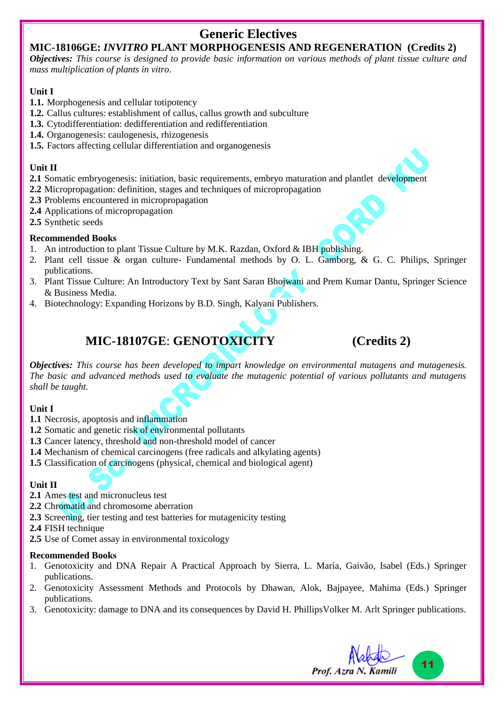# **Generic Electives**

#### **MIC-18106GE:** *INVITRO* **PLANT MORPHOGENESIS AND REGENERATION (Credits 2)**

*Objectives: This course is designed to provide basic information on various methods of plant tissue culture and mass multiplication of plants in vitro.*

#### **Unit I**

- **1.1.** Morphogenesis and cellular totipotency
- **1.2.** Callus cultures: establishment of callus, callus growth and subculture
- **1.3.** Cytodifferentiation: dedifferentiation and redifferentiation
- **1.4.** Organogenesis: caulogenesis, rhizogenesis
- **1.5.** Factors affecting cellular differentiation and organogenesis

#### **Unit II**

- **2.1** Somatic embryogenesis: initiation, basic requirements, embryo maturation and plantlet development
- **2.2** Micropropagation: definition, stages and techniques of micropropagation
- **2.3** Problems encountered in micropropagation
- **2.4** Applications of micropropagation
- **2.5** Synthetic seeds

#### **Recommended Books**

- 1. An introduction to plant Tissue Culture by M.K. Razdan, Oxford & IBH publishing.
- 2. Plant cell tissue & organ culture- Fundamental methods by O. L. Gamborg, & G. C. Philips, Springer publications.
- 3. Plant Tissue Culture: An Introductory Text by [Sant Saran Bhojwani](https://www.google.co.in/search?tbo=p&tbm=bks&q=inauthor:%22Sant+Saran+Bhojwani%22) and [Prem Kumar Dantu,](https://www.google.co.in/search?tbo=p&tbm=bks&q=inauthor:%22Prem+Kumar+Dantu%22) Springer Science & Business Media.
- 4. Biotechnology: Expanding Horizons by B.D. Singh, Kalyani Publishers.

# **MIC-18107GE**: **GENOTOXICITY (Credits 2)**

*Objectives: This course has been developed to impart knowledge on environmental mutagens and mutagenesis. The basic and advanced methods used to evaluate the mutagenic potential of various pollutants and mutagens shall be taught.*

#### **Unit I**

- **1.1** Necrosis, apoptosis and inflammation
- **1.2** Somatic and genetic risk of environmental pollutants
- **1.3** Cancer latency, threshold and non-threshold model of cancer
- **1.4** Mechanism of chemical carcinogens (free radicals and alkylating agents)
- **1.5** Classification of carcinogens (physical, chemical and biological agent)

#### **Unit II**

- **2.1** Ames test and micronucleus test
- **2.2** Chromatid and chromosome aberration
- **2.3** Screening, tier testing and test batteries for mutagenicity testing
- **2.4** FISH technique
- **2.5** Use of Comet assay in environmental toxicology

- 1. Genotoxicity and DNA Repair A Practical Approach by Sierra, L. María, Gaivão, Isabel (Eds.) Springer publications.
- 2. Genotoxicity Assessment Methods and Protocols by Dhawan, Alok, Bajpayee, Mahima (Eds.) Springer publications.
- 3. Genotoxicity: damage to DNA and its consequences by David H. PhillipsVolker M. Arlt Springer publications.

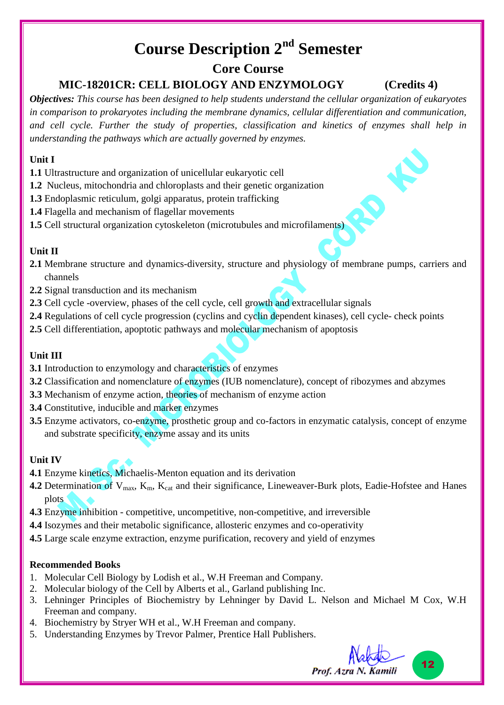# **Course Description 2nd Semester**

## **Core Course**

## **MIC-18201CR: CELL BIOLOGY AND ENZYMOLOGY (Credits 4)**

*Objectives: This course has been designed to help students understand the cellular organization of eukaryotes in comparison to prokaryotes including the membrane dynamics, cellular differentiation and communication, and cell cycle. Further the study of properties, classification and kinetics of enzymes shall help in understanding the pathways which are actually governed by enzymes.*

#### **Unit I**

- **1.1** Ultrastructure and organization of unicellular eukaryotic cell
- **1.2** Nucleus, mitochondria and chloroplasts and their genetic organization
- **1.3** Endoplasmic reticulum, golgi apparatus, protein trafficking
- **1.4** Flagella and mechanism of flagellar movements
- **1.5** Cell structural organization cytoskeleton (microtubules and microfilaments)

#### **Unit II**

- **2.1** Membrane structure and dynamics-diversity, structure and physiology of membrane pumps, carriers and channels
- **2.2** Signal transduction and its mechanism
- **2.3** Cell cycle -overview, phases of the cell cycle, cell growth and extracellular signals
- **2.4** Regulations of cell cycle progression (cyclins and cyclin dependent kinases), cell cycle- check points
- **2.5** Cell differentiation, apoptotic pathways and molecular mechanism of apoptosis

#### **Unit III**

- **3.1** Introduction to enzymology and characteristics of enzymes
- **3.2** Classification and nomenclature of enzymes (IUB nomenclature), concept of ribozymes and abzymes
- **3.3** Mechanism of enzyme action, theories of mechanism of enzyme action
- **3.4** Constitutive, inducible and marker enzymes
- **3.5** Enzyme activators, co-enzyme, prosthetic group and co-factors in enzymatic catalysis, concept of enzyme and substrate specificity, enzyme assay and its units

#### **Unit IV**

- **4.1** Enzyme kinetics, Michaelis-Menton equation and its derivation
- **4.2** Determination of  $V_{\text{max}}$ ,  $K_{\text{m}}$ ,  $K_{\text{cat}}$  and their significance, Lineweaver-Burk plots, Eadie-Hofstee and Hanes plots
- **4.3** Enzyme inhibition competitive, uncompetitive, non-competitive, and irreversible
- **4.4** Isozymes and their metabolic significance, allosteric enzymes and co-operativity
- **4.5** Large scale enzyme extraction, enzyme purification, recovery and yield of enzymes

- 1. Molecular Cell Biology by Lodish et al., W.H Freeman and Company.
- 2. Molecular biology of the Cell by Alberts et al., Garland publishing Inc.
- 3. Lehninger Principles of Biochemistry by Lehninger by David L. Nelson and Michael M Cox, W.H Freeman and company.
- 4. Biochemistry by Stryer WH et al., W.H Freeman and company.
- 5. Understanding Enzymes by Trevor Palmer, Prentice Hall Publishers.

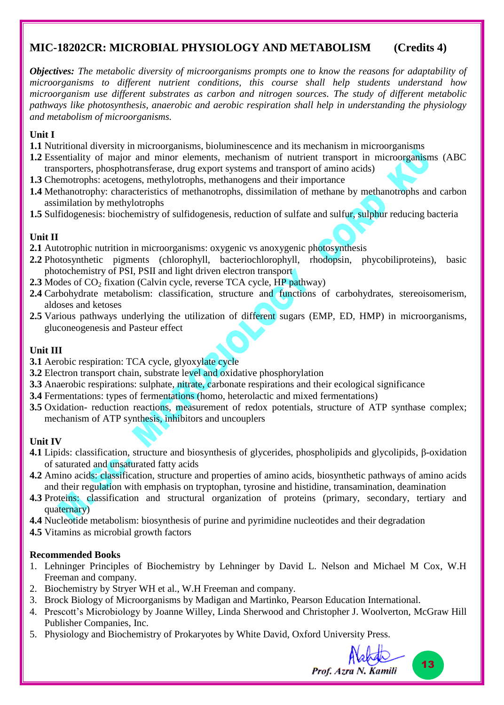### **MIC-18202CR: MICROBIAL PHYSIOLOGY AND METABOLISM (Credits 4)**

*Objectives: The metabolic diversity of microorganisms prompts one to know the reasons for adaptability of microorganisms to different nutrient conditions, this course shall help students understand how microorganism use different substrates as carbon and nitrogen sources. The study of different metabolic pathways like photosynthesis, anaerobic and aerobic respiration shall help in understanding the physiology and metabolism of microorganisms.*

#### **Unit I**

- **1.1** Nutritional diversity in microorganisms, bioluminescence and its mechanism in microorganisms
- **1.2** Essentiality of major and minor elements, mechanism of nutrient transport in microorganisms (ABC transporters, phosphotransferase, drug export systems and transport of amino acids)
- **1.3** Chemotrophs: acetogens, methylotrophs, methanogens and their importance
- **1.4** Methanotrophy: characteristics of methanotrophs, dissimilation of methane by methanotrophs and carbon assimilation by methylotrophs
- **1.5** Sulfidogenesis: biochemistry of sulfidogenesis, reduction of sulfate and sulfur, sulphur reducing bacteria

#### **Unit II**

- **2.1** Autotrophic nutrition in microorganisms: oxygenic vs anoxygenic photosynthesis
- **2.2** Photosynthetic pigments (chlorophyll, bacteriochlorophyll, rhodopsin, phycobiliproteins), basic photochemistry of PSI, PSII and light driven electron transport
- **2.3** Modes of CO<sub>2</sub> fixation (Calvin cycle, reverse TCA cycle, HP pathway)
- **2.4** Carbohydrate metabolism: classification, structure and functions of carbohydrates, stereoisomerism, aldoses and ketoses
- **2.5** Various pathways underlying the utilization of different sugars (EMP, ED, HMP) in microorganisms, gluconeogenesis and Pasteur effect

#### **Unit III**

- **3.1** Aerobic respiration: TCA cycle, glyoxylate cycle
- **3.2** Electron transport chain, substrate level and oxidative phosphorylation
- **3.3** Anaerobic respirations: sulphate, nitrate, carbonate respirations and their ecological significance
- **3.4** Fermentations: types of fermentations (homo, heterolactic and mixed fermentations)
- **3.5** Oxidation- reduction reactions, measurement of redox potentials, structure of ATP synthase complex; mechanism of ATP synthesis, inhibitors and uncouplers

#### **Unit IV**

- **4.1** Lipids: classification, structure and biosynthesis of glycerides, phospholipids and glycolipids, β-oxidation of saturated and unsaturated fatty acids
- **4.2** Amino acids: classification, structure and properties of amino acids, biosynthetic pathways of amino acids and their regulation with emphasis on tryptophan, tyrosine and histidine, transamination, deamination
- **4.3** Proteins: classification and structural organization of proteins (primary, secondary, tertiary and quaternary)
- **4.4** Nucleotide metabolism: biosynthesis of purine and pyrimidine nucleotides and their degradation

**4.5** Vitamins as microbial growth factors

- 1. Lehninger Principles of Biochemistry by Lehninger by David L. Nelson and Michael M Cox, W.H Freeman and company.
- 2. Biochemistry by Stryer WH et al., W.H Freeman and company.
- 3. Brock Biology of Microorganisms by Madigan and Martinko, Pearson Education International.
- 4. Prescott's Microbiology by Joanne Willey, Linda Sherwood and Christopher J. Woolverton, McGraw Hill Publisher Companies, Inc.
- 5. Physiology and Biochemistry of Prokaryotes by White David, Oxford University Press.

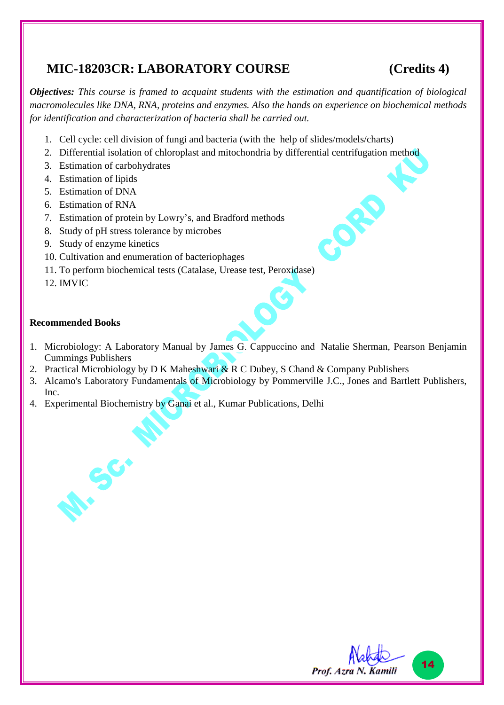# **MIC-18203CR: LABORATORY COURSE (Credits 4)**

OFF

*Objectives: This course is framed to acquaint students with the estimation and quantification of biological macromolecules like DNA, RNA, proteins and enzymes. Also the hands on experience on biochemical methods for identification and characterization of bacteria shall be carried out.*

- 1. Cell cycle: cell division of fungi and bacteria (with the help of slides/models/charts)
- 2. Differential isolation of chloroplast and mitochondria by differential centrifugation method
- 3. Estimation of carbohydrates
- 4. Estimation of lipids
- 5. Estimation of DNA
- 6. Estimation of RNA
- 7. Estimation of protein by Lowry's, and Bradford methods
- 8. Study of pH stress tolerance by microbes
- 9. Study of enzyme kinetics

**A:** Sc.

- 10. Cultivation and enumeration of bacteriophages
- 11. To perform biochemical tests (Catalase, Urease test, Peroxidase)
- 12. IMVIC

- 1. Microbiology: A Laboratory Manual by James G. Cappuccino and Natalie Sherman, Pearson Benjamin Cummings Publishers
- 2. Practical Microbiology by D K Maheshwari & R C Dubey, S Chand & Company Publishers
- 3. Alcamo's Laboratory Fundamentals of Microbiology by Pommerville J.C., Jones and Bartlett Publishers, Inc.
- 4. Experimental Biochemistry by Ganai et al., Kumar Publications, Delhi

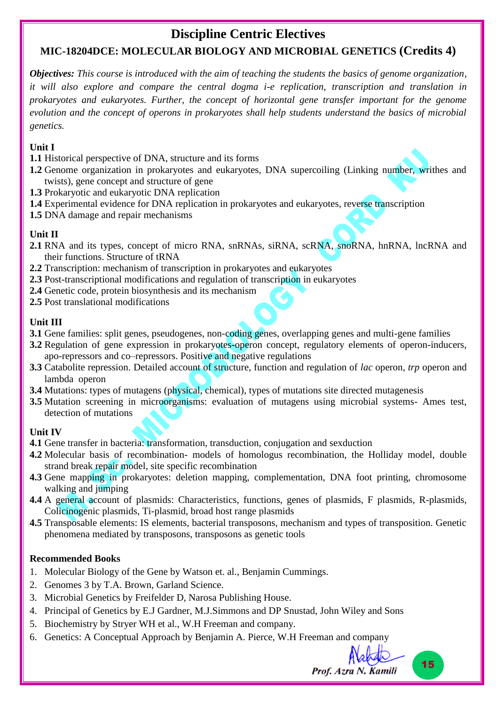# **Discipline Centric Electives**

# **MIC-18204DCE: MOLECULAR BIOLOGY AND MICROBIAL GENETICS (Credits 4)**

*Objectives: This course is introduced with the aim of teaching the students the basics of genome organization, it will also explore and compare the central dogma i-e replication, transcription and translation in prokaryotes and eukaryotes. Further, the concept of horizontal gene transfer important for the genome evolution and the concept of operons in prokaryotes shall help students understand the basics of microbial genetics.*

#### **Unit I**

- **1.1** Historical perspective of DNA, structure and its forms
- **1.2** Genome organization in prokaryotes and eukaryotes, DNA supercoiling (Linking number, writhes and twists), gene concept and structure of gene
- **1.3** Prokaryotic and eukaryotic DNA replication
- **1.4** Experimental evidence for DNA replication in prokaryotes and eukaryotes, reverse transcription
- **1.5** DNA damage and repair mechanisms

#### **Unit II**

- **2.1** RNA and its types, concept of micro RNA, snRNAs, siRNA, scRNA, snoRNA, hnRNA, lncRNA and their functions. Structure of tRNA
- **2.2** Transcription: mechanism of transcription in prokaryotes and eukaryotes
- **2.3** Post-transcriptional modifications and regulation of transcription in eukaryotes
- **2.4** Genetic code, protein biosynthesis and its mechanism
- **2.5** Post translational modifications

#### **Unit III**

- **3.1** Gene families: split genes, pseudogenes, non-coding genes, overlapping genes and multi-gene families
- **3.2** Regulation of gene expression in prokaryotes-operon concept, regulatory elements of operon-inducers, apo-repressors and co–repressors. Positive and negative regulations
- **3.3** Catabolite repression. Detailed account of structure, function and regulation of *lac* operon, *trp* operon and lambda operon
- **3.4** Mutations: types of mutagens (physical, chemical), types of mutations site directed mutagenesis
- **3.5** Mutation screening in microorganisms: evaluation of mutagens using microbial systems- Ames test, detection of mutations

#### **Unit IV**

- **4.1** Gene transfer in bacteria: transformation, transduction, conjugation and sexduction
- **4.2** Molecular basis of recombination- models of homologus recombination, the Holliday model, double strand break repair model, site specific recombination
- **4.3** Gene mapping in prokaryotes: deletion mapping, complementation, DNA foot printing, chromosome walking and jumping
- **4.4** A general account of plasmids: Characteristics, functions, genes of plasmids, F plasmids, R-plasmids, Colicinogenic plasmids, Ti-plasmid, broad host range plasmids
- **4.5** Transposable elements: IS elements, bacterial transposons, mechanism and types of transposition. Genetic phenomena mediated by transposons, transposons as genetic tools

#### **Recommended Books**

- 1. Molecular Biology of the Gene by Watson et. al., Benjamin Cummings.
- 2. Genomes 3 by T.A. Brown, Garland Science.
- 3. Microbial Genetics by Freifelder D, Narosa Publishing House.
- 4. Principal of Genetics by E.J Gardner, M.J.Simmons and DP Snustad, John Wiley and Sons
- 5. Biochemistry by Stryer WH et al., W.H Freeman and company.
- 6. Genetics: A Conceptual Approach by Benjamin A. Pierce, W.H Freeman and company



15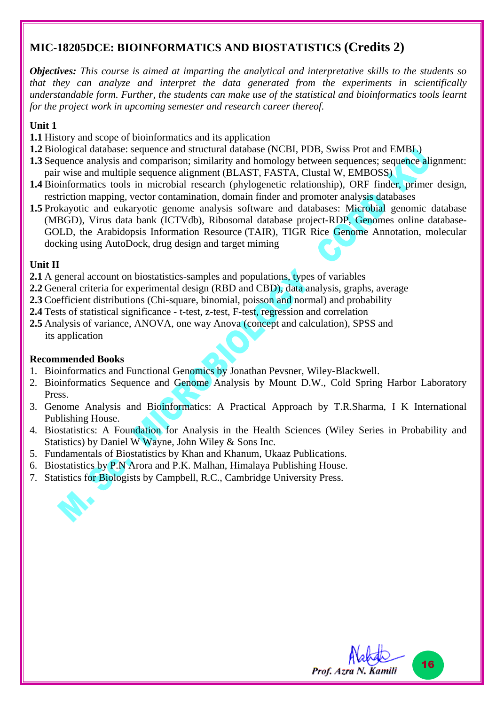## **MIC-18205DCE: BIOINFORMATICS AND BIOSTATISTICS (Credits 2)**

*Objectives: This course is aimed at imparting the analytical and interpretative skills to the students so that they can analyze and interpret the data generated from the experiments in scientifically understandable form. Further, the students can make use of the statistical and bioinformatics tools learnt for the project work in upcoming semester and research career thereof.*

#### **Unit 1**

- **1.1** History and scope of bioinformatics and its application
- **1.2** Biological database: sequence and structural database (NCBI, PDB, Swiss Prot and EMBL)
- **1.3** Sequence analysis and comparison; similarity and homology between sequences; sequence alignment: pair wise and multiple sequence alignment (BLAST, FASTA, Clustal W, EMBOSS)
- **1.4** Bioinformatics tools in microbial research (phylogenetic relationship), ORF finder, primer design, restriction mapping, vector contamination, domain finder and promoter analysis databases
- **1.5** Prokayotic and eukaryotic genome analysis software and databases: Microbial genomic database (MBGD), Virus data bank (ICTVdb), Ribosomal database project-RDP, Genomes online database-GOLD, the Arabidopsis Information Resource (TAIR), TIGR Rice Genome Annotation, molecular docking using AutoDock, drug design and target miming

#### **Unit II**

- **2.1** A general account on biostatistics-samples and populations, types of variables
- **2.2** General criteria for experimental design (RBD and CBD), data analysis, graphs, average
- **2.3** Coefficient distributions (Chi-square, binomial, poisson and normal) and probability
- **2.4** Tests of statistical significance t-test, z-test, F-test, regression and correlation
- **2.5** Analysis of variance, ANOVA, one way Anova (concept and calculation), SPSS and its application

- 1. Bioinformatics and Functional Genomics by Jonathan Pevsner, Wiley-Blackwell.
- 2. Bioinformatics Sequence and Genome Analysis by Mount D.W., Cold Spring Harbor Laboratory Press.
- 3. Genome Analysis and Bioinformatics: A Practical Approach by T.R.Sharma, I K International Publishing House.
- 4. Biostatistics: A Foundation for Analysis in the Health Sciences (Wiley Series in Probability and Statistics) by Daniel W Wayne, John Wiley & Sons Inc.
- 5. Fundamentals of Biostatistics by Khan and Khanum, Ukaaz Publications.
- 6. Biostatistics by P.N Arora and P.K. Malhan, Himalaya Publishing House.
- 7. Statistics for Biologists by Campbell, R.C., Cambridge University Press.

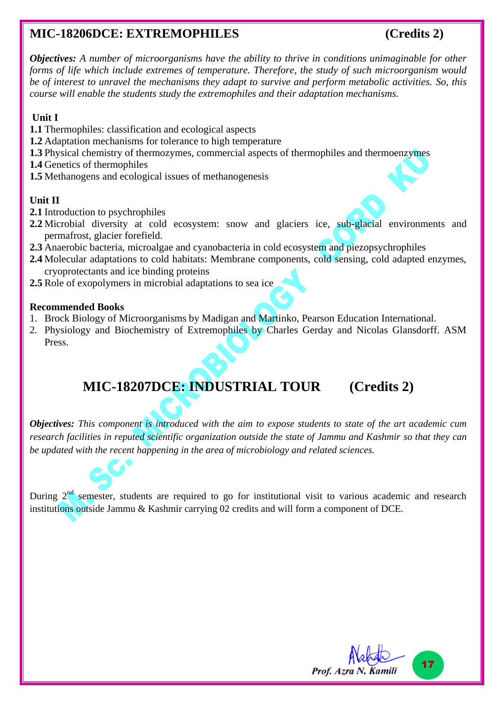# **MIC-18206DCE: EXTREMOPHILES (Credits 2)**

17

Prof. Azra N. Kamili

*Objectives: A number of microorganisms have the ability to thrive in conditions unimaginable for other forms of life which include extremes of temperature. Therefore, the study of such microorganism would be of interest to unravel the mechanisms they adapt to survive and perform metabolic activities. So, this course will enable the students study the extremophiles and their adaptation mechanisms.* 

#### **Unit I**

- **1.1** Thermophiles: classification and ecological aspects
- **1.2** Adaptation mechanisms for tolerance to high temperature
- **1.3** Physical chemistry of thermozymes, commercial aspects of thermophiles and thermoenzymes
- **1.4** Genetics of thermophiles
- **1.5** Methanogens and ecological issues of methanogenesis

#### **Unit II**

- **2.1** Introduction to psychrophiles
- **2.2** Microbial diversity at cold ecosystem: snow and glaciers ice, sub-glacial environments and permafrost, glacier forefield.
- **2.3** Anaerobic bacteria, microalgae and cyanobacteria in cold ecosystem and piezopsychrophiles
- **2.4** Molecular adaptations to cold habitats: Membrane components, cold sensing, cold adapted enzymes, cryoprotectants and ice binding proteins
- **2.5** Role of exopolymers in microbial adaptations to sea ice

#### **Recommended Books**

- 1. Brock Biology of Microorganisms by Madigan and Martinko, Pearson Education International.
- 2. Physiology and Biochemistry of Extremophiles by Charles Gerday and Nicolas Glansdorff. ASM Press.

# **MIC-18207DCE: INDUSTRIAL TOUR (Credits 2)**

*Objectives: This component is introduced with the aim to expose students to state of the art academic cum research facilities in reputed scientific organization outside the state of Jammu and Kashmir so that they can be updated with the recent happening in the area of microbiology and related sciences.*

During  $2<sup>nd</sup>$  semester, students are required to go for institutional visit to various academic and research institutions outside Jammu & Kashmir carrying 02 credits and will form a component of DCE.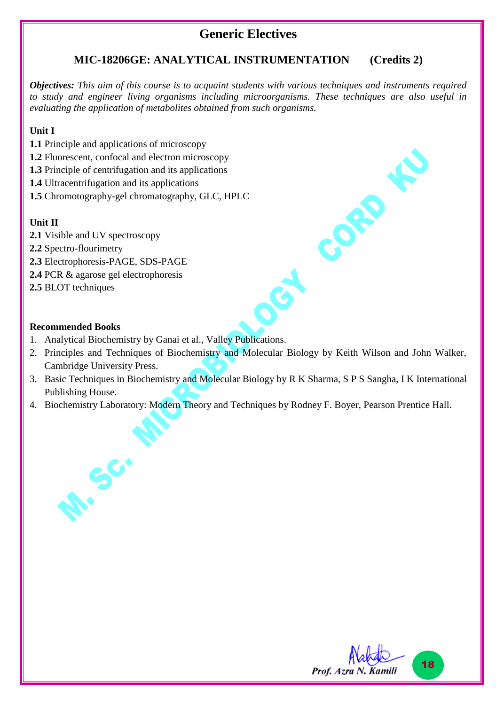## **Generic Electives**

### **MIC-18206GE: ANALYTICAL INSTRUMENTATION (Credits 2)**

*Objectives: This aim of this course is to acquaint students with various techniques and instruments required to study and engineer living organisms including microorganisms. These techniques are also useful in evaluating the application of metabolites obtained from such organisms.*

#### **Unit I**

- **1.1** Principle and applications of microscopy
- **1.2** Fluorescent, confocal and electron microscopy
- **1.3** Principle of centrifugation and its applications
- **1.4** Ultracentrifugation and its applications
- **1.5** Chromotography-gel chromatography, GLC, HPLC

#### **Unit II**

- **2.1** Visible and UV spectroscopy
- **2.2** Spectro-flourimetry
- **2.3** Electrophoresis-PAGE, SDS-PAGE
- **2.4** PCR & agarose gel electrophoresis

**A: Sc.** 

**2.5** BLOT techniques

#### **Recommended Books**

- 1. Analytical Biochemistry by Ganai et al., Valley Publications.
- 2. Principles and Techniques of Biochemistry and Molecular Biology by Keith Wilson and John Walker, Cambridge University Press.
- 3. Basic Techniques in Biochemistry and Molecular Biology by R K Sharma, S P S Sangha, I K International Publishing House.
- 4. Biochemistry Laboratory: Modern Theory and Techniques by Rodney F. Boyer, Pearson Prentice Hall.



CORD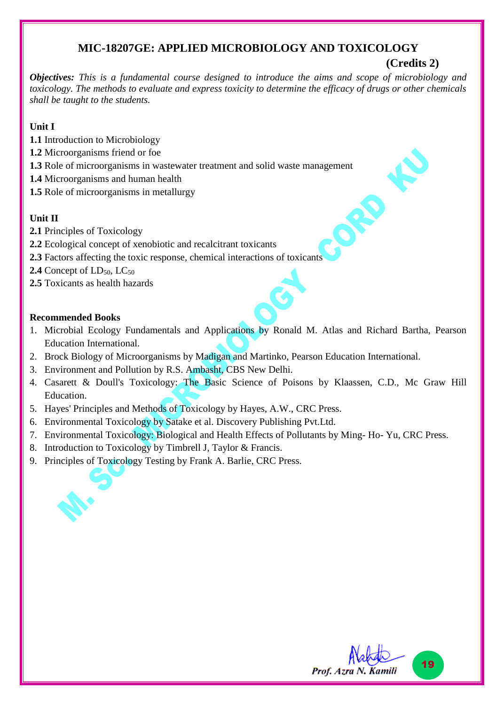### **MIC-18207GE: APPLIED MICROBIOLOGY AND TOXICOLOGY**

# **(Credits 2)**

ORD

*Objectives: This is a fundamental course designed to introduce the aims and scope of microbiology and toxicology. The methods to evaluate and express toxicity to determine the efficacy of drugs or other chemicals shall be taught to the students.*

### **Unit I**

- **1.1** Introduction to Microbiology
- **1.2** Microorganisms friend or foe
- **1.3** Role of microorganisms in wastewater treatment and solid waste management
- **1.4** Microorganisms and human health
- **1.5** Role of microorganisms in metallurgy

### **Unit II**

- **2.1** Principles of Toxicology
- **2.2** Ecological concept of xenobiotic and recalcitrant toxicants
- **2.3** Factors affecting the toxic response, chemical interactions of toxicants
- **2.4** Concept of  $LD_{50}$ ,  $LC_{50}$
- **2.5** Toxicants as health hazards

- 1. Microbial Ecology Fundamentals and Applications by Ronald M. Atlas and Richard Bartha, Pearson Education International.
- 2. Brock Biology of Microorganisms by Madigan and Martinko, Pearson Education International.
- 3. Environment and Pollution by R.S. Ambasht, CBS New Delhi.
- 4. Casarett & Doull's Toxicology: The Basic Science of Poisons by Klaassen, C.D., Mc Graw Hill Education.
- 5. Hayes' Principles and Methods of Toxicology by Hayes, A.W., CRC Press.
- 6. Environmental Toxicology by Satake et al. Discovery Publishing Pvt.Ltd.
- 7. Environmental Toxicology: Biological and Health Effects of Pollutants by Ming- Ho- Yu, CRC Press.
- 8. Introduction to Toxicology by Timbrell J, Taylor & Francis.
- 9. Principles of Toxicology Testing by Frank A. Barlie, CRC Press.

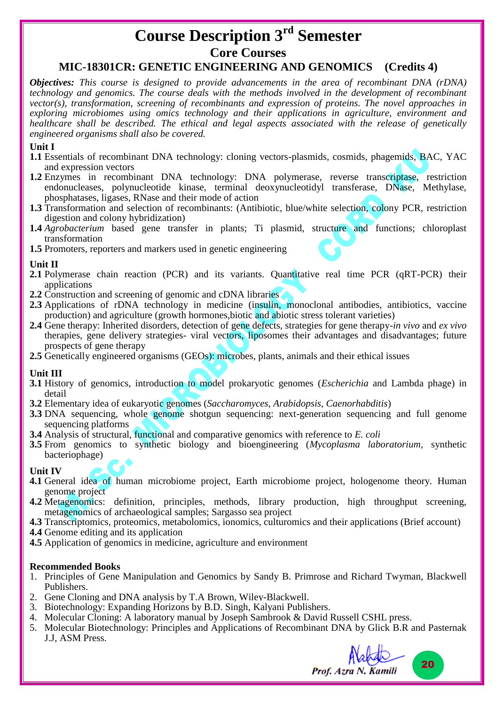# **Course Description 3rd Semester Core Courses MIC-18301CR: GENETIC ENGINEERING AND GENOMICS (Credits 4)**

*Objectives: This course is designed to provide advancements in the area of recombinant DNA (rDNA) technology and genomics. The course deals with the methods involved in the development of recombinant vector(s), transformation, screening of recombinants and expression of proteins. The novel approaches in exploring microbiomes using omics technology and their applications in agriculture, environment and healthcare shall be described. The ethical and legal aspects associated with the release of genetically engineered organisms shall also be covered.*

#### **Unit I**

- **1.1** Essentials of recombinant DNA technology: cloning vectors-plasmids, cosmids, phagemids, BAC, YAC and expression vectors
- **1.2** Enzymes in recombinant DNA technology: DNA polymerase, reverse transcriptase, restriction endonucleases, polynucleotide kinase, terminal deoxynucleotidyl transferase, DNase, Methylase, phosphatases, ligases, RNase and their mode of action
- **1.3** Transformation and selection of recombinants: (Antibiotic, blue/white selection, colony PCR, restriction digestion and colony hybridization)
- **1.4** *Agrobacterium* based gene transfer in plants; Ti plasmid, structure and functions; chloroplast transformation
- **1.5** Promoters, reporters and markers used in genetic engineering

#### **Unit II**

- **2.1** Polymerase chain reaction (PCR) and its variants. Quantitative real time PCR (qRT-PCR) their applications
- **2.2** Construction and screening of genomic and cDNA libraries
- **2.3** Applications of rDNA technology in medicine (insulin, monoclonal antibodies, antibiotics, vaccine production) and agriculture (growth hormones,biotic and abiotic stress tolerant varieties)
- **2.4** Gene therapy: Inherited disorders, detection of gene defects, strategies for gene therapy*-in vivo* and *ex vivo*  therapies, gene delivery strategies- viral vectors, liposomes their advantages and disadvantages; future prospects of gene therapy
- 2.5 Genetically engineered organisms (GEOs): microbes, plants, animals and their ethical issues

#### **Unit III**

- **3.1** History of genomics, introduction to model prokaryotic genomes (*Escherichia* and Lambda phage) in detail
- **3.2** Elementary idea of eukaryotic genomes (*Saccharomyces*, *Arabidopsis*, *Caenorhabditis*)
- **3.3** DNA sequencing, whole genome shotgun sequencing: next-generation sequencing and full genome sequencing platforms
- **3.4** Analysis of structural, functional and comparative genomics with reference to *E. coli*
- **3.5** From genomics to synthetic biology and bioengineering (*Mycoplasma laboratorium,* synthetic bacteriophage)

#### **Unit IV**

- **4.1** General idea of human microbiome project, Earth microbiome project, hologenome theory. Human genome project
- **4.2** Metagenomics: definition, principles, methods, library production, high throughput screening, metagenomics of archaeological samples; Sargasso sea project
- **4.3** Transcriptomics, proteomics, metabolomics, ionomics, culturomics and their applications (Brief account)
- **4.4** Genome editing and its application
- **4.5** Application of genomics in medicine, agriculture and environment

- 1. Principles of Gene Manipulation and Genomics by Sandy B. Primrose and Richard Twyman, Blackwell Publishers.
- 2. Gene Cloning and DNA analysis by T.A Brown, Wiley-Blackwell.
- 3. Biotechnology: Expanding Horizons by B.D. Singh, Kalyani Publishers.
- 4. Molecular Cloning: A laboratory manual by Joseph Sambrook & David Russell CSHL press.
- 5. Molecular Biotechnology: Principles and Applications of Recombinant DNA by Glick B.R and Pasternak J.J, ASM Press.

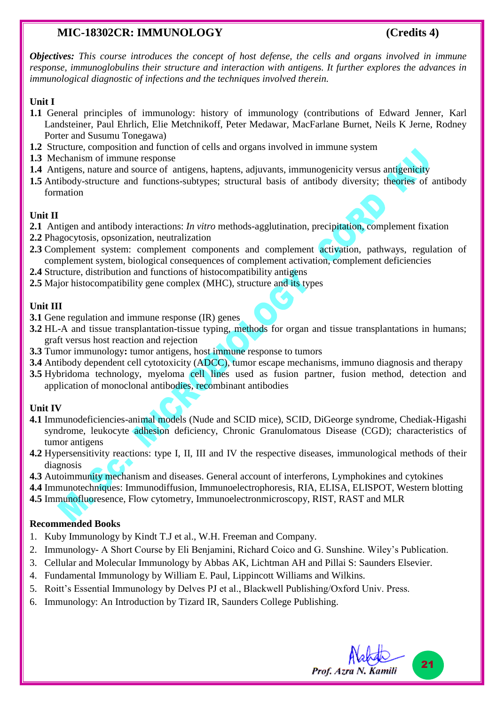### **MIC-18302CR: IMMUNOLOGY (Credits 4)**

*Objectives: This course introduces the concept of host defense, the cells and organs involved in immune response, immunoglobulins their structure and interaction with antigens. It further explores the advances in immunological diagnostic of infections and the techniques involved therein.*

#### **Unit I**

- **1.1** General principles of immunology: history of immunology (contributions of Edward Jenner, Karl Landsteiner, Paul Ehrlich, Elie Metchnikoff, Peter Medawar, MacFarlane Burnet, Neils K Jerne, Rodney Porter and Susumu Tonegawa)
- **1.2** Structure, composition and function of cells and organs involved in immune system
- **1.3** Mechanism of immune response
- **1.4** Antigens, nature and source of antigens, haptens, adjuvants, immunogenicity versus antigenicity
- **1.5** Antibody-structure and functions-subtypes; structural basis of antibody diversity; theories of antibody formation

#### **Unit II**

- **2.1** Antigen and antibody interactions: *In vitro* methods-agglutination, precipitation, complement fixation
- **2.2** Phagocytosis, opsonization, neutralization
- **2.3** Complement system: complement components and complement activation, pathways, regulation of complement system, biological consequences of complement activation, complement deficiencies
- **2.4** Structure, distribution and functions of histocompatibility antigens
- **2.5** Major histocompatibility gene complex (MHC), structure and its types

#### **Unit III**

- **3.1** Gene regulation and immune response (IR) genes
- **3.2** HL-A and tissue transplantation-tissue typing, methods for organ and tissue transplantations in humans; graft versus host reaction and rejection
- **3.3** Tumor immunology**:** tumor antigens, host immune response to tumors
- **3.4** Antibody dependent cell cytotoxicity (ADCC), tumor escape mechanisms, immuno diagnosis and therapy
- **3.5** Hybridoma technology, myeloma cell lines used as fusion partner, fusion method, detection and application of monoclonal antibodies, recombinant antibodies

#### **Unit IV**

- **4.1** Immunodeficiencies-animal models (Nude and SCID mice), SCID, DiGeorge syndrome, Chediak-Higashi syndrome, leukocyte adhesion deficiency, Chronic Granulomatous Disease (CGD); characteristics of tumor antigens
- **4.2** Hypersensitivity reactions: type I, II, III and IV the respective diseases, immunological methods of their diagnosis
- **4.3** Autoimmunity mechanism and diseases. General account of interferons, Lymphokines and cytokines
- **4.4** Immunotechniques: Immunodiffusion, Immunoelectrophoresis, RIA, ELISA, ELISPOT, Western blotting
- **4.5** Immunofluoresence, Flow cytometry, Immunoelectronmicroscopy, RIST, RAST and MLR

- 1. Kuby Immunology by Kindt T.J et al., W.H. Freeman and Company.
- 2. Immunology- A Short Course by Eli Benjamini, Richard Coico and G. Sunshine. Wiley's Publication.
- 3. Cellular and Molecular Immunology by Abbas AK, Lichtman AH and Pillai S: Saunders Elsevier.
- 4. Fundamental Immunology by William E. Paul, Lippincott Williams and Wilkins.
- 5. Roitt's Essential Immunology by Delves PJ et al., Blackwell Publishing/Oxford Univ. Press.
- 6. Immunology: An Introduction by Tizard IR, Saunders College Publishing.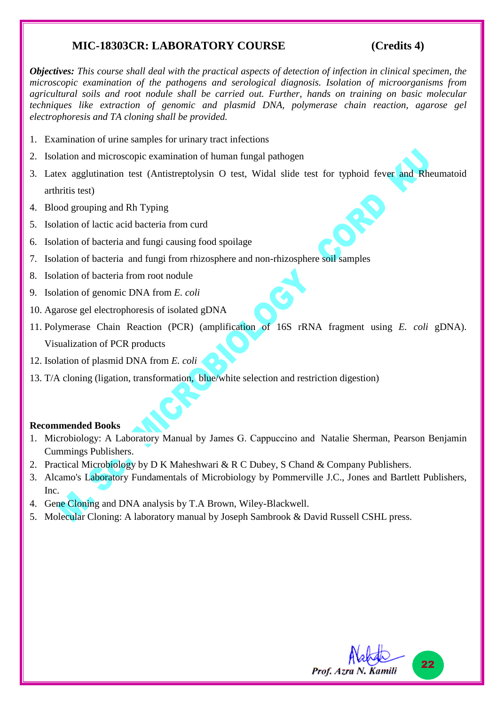### **MIC-18303CR: LABORATORY COURSE (Credits 4)**

*Objectives: This course shall deal with the practical aspects of detection of infection in clinical specimen, the microscopic examination of the pathogens and serological diagnosis. Isolation of microorganisms from agricultural soils and root nodule shall be carried out. Further, hands on training on basic molecular techniques like extraction of genomic and plasmid DNA, polymerase chain reaction, agarose gel electrophoresis and TA cloning shall be provided.*

- 1. Examination of urine samples for urinary tract infections
- 2. Isolation and microscopic examination of human fungal pathogen
- 3. Latex agglutination test (Antistreptolysin O test, Widal slide test for typhoid fever and Rheumatoid arthritis test)
- 4. Blood grouping and Rh Typing
- 5. Isolation of lactic acid bacteria from curd
- 6. Isolation of bacteria and fungi causing food spoilage
- 7. Isolation of bacteria and fungi from rhizosphere and non-rhizosphere soil samples
- 8. Isolation of bacteria from root nodule
- 9. Isolation of genomic DNA from *E. coli*
- 10. Agarose gel electrophoresis of isolated gDNA
- 11. Polymerase Chain Reaction (PCR) (amplification of 16S rRNA fragment using *E. coli* gDNA). Visualization of PCR products
- 12. Isolation of plasmid DNA from *E. coli*
- 13. T/A cloning (ligation, transformation, blue/white selection and restriction digestion)

- 1. Microbiology: A Laboratory Manual by James G. Cappuccino and Natalie Sherman, Pearson Benjamin Cummings Publishers.
- 2. Practical Microbiology by D K Maheshwari & R C Dubey, S Chand & Company Publishers.
- 3. Alcamo's Laboratory Fundamentals of Microbiology by Pommerville J.C., Jones and Bartlett Publishers, Inc.
- 4. Gene Cloning and DNA analysis by T.A Brown, Wiley-Blackwell.
- 5. Molecular Cloning: A laboratory manual by Joseph Sambrook & David Russell CSHL press.

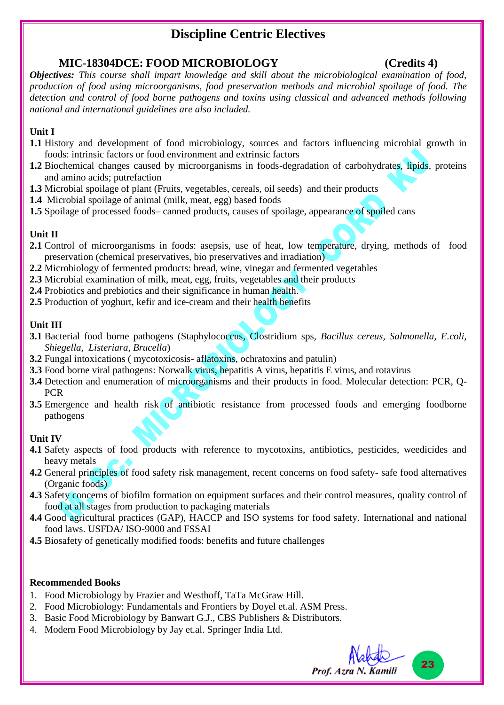# **Discipline Centric Electives**

### **MIC-18304DCE: FOOD MICROBIOLOGY (Credits 4)**

*Objectives: This course shall impart knowledge and skill about the microbiological examination of food, production of food using microorganisms, food preservation methods and microbial spoilage of food. The detection and control of food borne pathogens and toxins using classical and advanced methods following national and international guidelines are also included.*

#### **Unit I**

- **1.1** History and development of food microbiology, sources and factors influencing microbial growth in foods: intrinsic factors or food environment and extrinsic factors
- **1.2** Biochemical changes caused by microorganisms in foods-degradation of carbohydrates, lipids, proteins and amino acids; putrefaction
- **1.3** Microbial spoilage of plant (Fruits, vegetables, cereals, oil seeds) and their products
- **1.4** Microbial spoilage of animal (milk, meat, egg) based foods
- **1.5** Spoilage of processed foods– canned products, causes of spoilage, appearance of spoiled cans

#### **Unit II**

- **2.1** Control of microorganisms in foods: asepsis, use of heat, low temperature, drying, methods of food preservation (chemical preservatives, bio preservatives and irradiation)
- **2.2** Microbiology of fermented products: bread, wine, vinegar and fermented vegetables
- **2.3** Microbial examination of milk, meat, egg, fruits, vegetables and their products
- **2.4** Probiotics and prebiotics and their significance in human health.
- **2.5** Production of yoghurt, kefir and ice-cream and their health benefits

#### **Unit III**

- **3.1** Bacterial food borne pathogens (Staphylococcus, Clostridium sps, *Bacillus cereus, Salmonella, E.coli, Shiegella, Listeriara, Brucella*)
- **3.2** Fungal intoxications ( mycotoxicosis- aflatoxins, ochratoxins and patulin)
- **3.3** Food borne viral pathogens: Norwalk virus, hepatitis A virus, hepatitis E virus, and rotavirus
- **3.4** Detection and enumeration of microorganisms and their products in food. Molecular detection: PCR, Q-PCR
- **3.5** Emergence and health risk of antibiotic resistance from processed foods and emerging foodborne pathogens

#### **Unit IV**

- **4.1** Safety aspects of food products with reference to mycotoxins, antibiotics, pesticides, weedicides and heavy metals
- **4.2** General principles of food safety risk management, recent concerns on food safety- safe food alternatives (Organic foods)
- **4.3** Safety concerns of biofilm formation on equipment surfaces and their control measures, quality control of food at all stages from production to packaging materials
- **4.4** Good agricultural practices (GAP), HACCP and ISO systems for food safety. International and national food laws. USFDA/ ISO-9000 and FSSAI
- **4.5** Biosafety of genetically modified foods: benefits and future challenges

- 1. Food Microbiology by Frazier and Westhoff, TaTa McGraw Hill.
- 2. Food Microbiology: Fundamentals and Frontiers by Doyel et.al. ASM Press.
- 3. Basic Food Microbiology by Banwart G.J., CBS Publishers & Distributors.
- 4. Modern Food Microbiology by Jay et.al. Springer India Ltd.

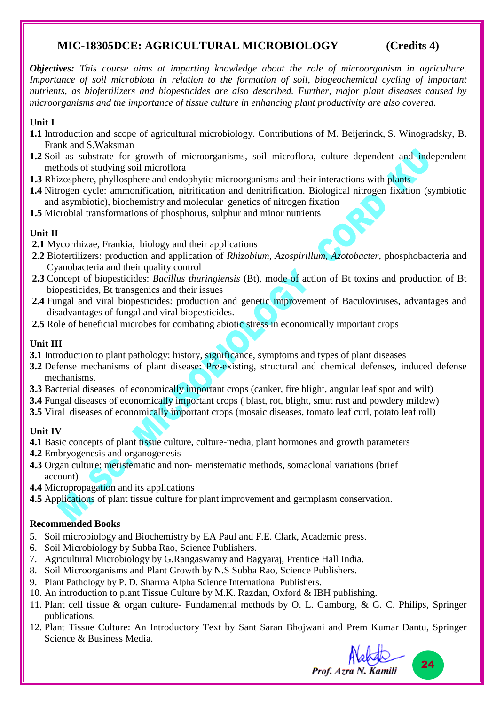### **MIC-18305DCE: AGRICULTURAL MICROBIOLOGY (Credits 4)**

*Objectives: This course aims at imparting knowledge about the role of microorganism in agriculture. Importance of soil microbiota in relation to the formation of soil, biogeochemical cycling of important nutrients, as biofertilizers and biopesticides are also described. Further, major plant diseases caused by microorganisms and the importance of tissue culture in enhancing plant productivity are also covered.*

#### **Unit I**

- **1.1** Introduction and scope of agricultural microbiology. Contributions of M. Beijerinck, S. Winogradsky, B. Frank and S.Waksman
- **1.2** Soil as substrate for growth of microorganisms, soil microflora, culture dependent and independent methods of studying soil microflora
- **1.3** Rhizosphere, phyllosphere and endophytic microorganisms and their interactions with plants
- **1.4** Nitrogen cycle: ammonification, nitrification and denitrification. Biological nitrogen fixation (symbiotic and asymbiotic), biochemistry and molecular genetics of nitrogen fixation
- **1.5** Microbial transformations of phosphorus, sulphur and minor nutrients

#### **Unit II**

- **2.1** Mycorrhizae, Frankia, biology and their applications
- **2.2** Biofertilizers: production and application of *Rhizobium, Azospirillum, Azotobacter,* phosphobacteria and Cyanobacteria and their quality control
- **2.3** Concept of biopesticides: *Bacillus thuringiensis* (Bt), mode of action of Bt toxins and production of Bt biopesticides, Bt transgenics and their issues
- 2.4 Fungal and viral biopesticides: production and genetic improvement of Baculoviruses, advantages and disadvantages of fungal and viral biopesticides.
- **2.5** Role of beneficial microbes for combating abiotic stress in economically important crops

#### **Unit III**

- **3.1** Introduction to plant pathology: history, significance, symptoms and types of plant diseases
- **3.2** Defense mechanisms of plant disease: Pre-existing, structural and chemical defenses, induced defense mechanisms.
- **3.3** Bacterial diseases of economically important crops (canker, fire blight, angular leaf spot and wilt)
- **3.4** Fungal diseases of economically important crops ( blast, rot, blight, smut rust and powdery mildew)
- **3.5** Viral diseases of economically important crops (mosaic diseases, tomato leaf curl, potato leaf roll)

#### **Unit IV**

- **4.1** Basic concepts of plant tissue culture, culture-media, plant hormones and growth parameters
- **4.2** Embryogenesis and organogenesis
- **4.3** Organ culture: meristematic and non- meristematic methods, somaclonal variations (brief account)
- **4.4** Micropropagation and its applications
- **4.5** Applications of plant tissue culture for plant improvement and germplasm conservation.

#### **Recommended Books**

- 5. Soil microbiology and Biochemistry by EA Paul and F.E. Clark, Academic press.
- 6. Soil Microbiology by Subba Rao, Science Publishers.
- 7. Agricultural Microbiology by G.Rangaswamy and Bagyaraj, Prentice Hall India.
- 8. Soil Microorganisms and Plant Growth by N.S Subba Rao, Science Publishers.
- 9. Plant Pathology by P. D. Sharma Alpha Science International Publishers.
- 10. An introduction to plant Tissue Culture by M.K. Razdan, Oxford & IBH publishing.
- 11. Plant cell tissue & organ culture- Fundamental methods by O. L. Gamborg, & G. C. Philips, Springer publications.
- 12. Plant Tissue Culture: An Introductory Text by [Sant Saran Bhojwani](https://www.google.co.in/search?tbo=p&tbm=bks&q=inauthor:%22Sant+Saran+Bhojwani%22) and [Prem Kumar Dantu,](https://www.google.co.in/search?tbo=p&tbm=bks&q=inauthor:%22Prem+Kumar+Dantu%22) Springer Science & Business Media.



24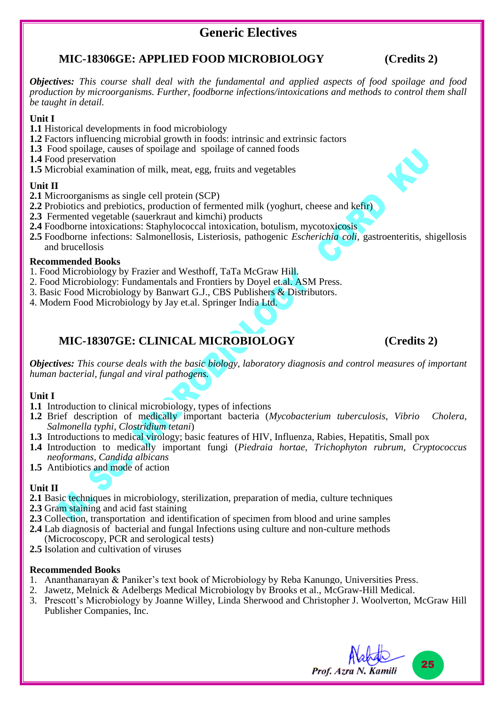## **Generic Electives**

#### **MIC-18306GE: APPLIED FOOD MICROBIOLOGY (Credits 2)**

*Objectives: This course shall deal with the fundamental and applied aspects of food spoilage and food production by microorganisms. Further, foodborne infections/intoxications and methods to control them shall be taught in detail.*

#### **Unit I**

- **1.1** Historical developments in food microbiology
- **1.2** Factors influencing microbial growth in foods: intrinsic and extrinsic factors
- **1.3** Food spoilage, causes of spoilage and spoilage of canned foods
- **1.4** Food preservation
- **1.5** Microbial examination of milk, meat, egg, fruits and vegetables

#### **Unit II**

- **2.1** Microorganisms as single cell protein (SCP)
- **2.2** Probiotics and prebiotics, production of fermented milk (yoghurt, cheese and kefir)
- **2.3** Fermented vegetable (sauerkraut and kimchi) products
- **2.4** Foodborne intoxications: Staphylococcal intoxication, botulism, mycotoxicosis
- **2.5** Foodborne infections: Salmonellosis, Listeriosis, pathogenic *Escherichia coli*, gastroenteritis, shigellosis and brucellosis

#### **Recommended Books**

- 1. Food Microbiology by Frazier and Westhoff, TaTa McGraw Hill.
- 2. Food Microbiology: Fundamentals and Frontiers by Doyel et.al. ASM Press.
- 3. Basic Food Microbiology by Banwart G.J., CBS Publishers & Distributors.
- 4. Modern Food Microbiology by Jay et.al. Springer India Ltd.

## **MIC-18307GE: CLINICAL MICROBIOLOGY (Credits 2)**

*Objectives: This course deals with the basic biology, laboratory diagnosis and control measures of important human bacterial, fungal and viral pathogens.*

#### **Unit I**

- **1.1** Introduction to clinical microbiology, types of infections
- **1.2** Brief description of medically important bacteria (*Mycobacterium tuberculosis*, *Vibrio Cholera*, *Salmonella typhi*, *Clostridium tetani*)
- **1.3** Introductions to medical virology; basic features of HIV, Influenza, Rabies, Hepatitis, Small pox
- **1.4** Introduction to medically important fungi (*Piedraia hortae, Trichophyton rubrum, Cryptococcus neoformans, Candida albicans*
- **1.5** Antibiotics and mode of action

#### **Unit II**

- **2.1** Basic techniques in microbiology, sterilization, preparation of media, culture techniques
- **2.3** Gram staining and acid fast staining
- **2.3** Collection, transportation and identification of specimen from blood and urine samples
- **2.4** Lab diagnosis of bacterial and fungal Infections using culture and non-culture methods (Microcoscopy, PCR and serological tests)
- **2.5** Isolation and cultivation of viruses

- 1. Ananthanarayan & Paniker's text book of Microbiology by Reba Kanungo, Universities Press.
- 2. Jawetz, Melnick & Adelbergs Medical Microbiology by Brooks et al., McGraw-Hill Medical.
- 3. Prescott's Microbiology by Joanne Willey, Linda Sherwood and Christopher J. Woolverton, McGraw Hill Publisher Companies, Inc.

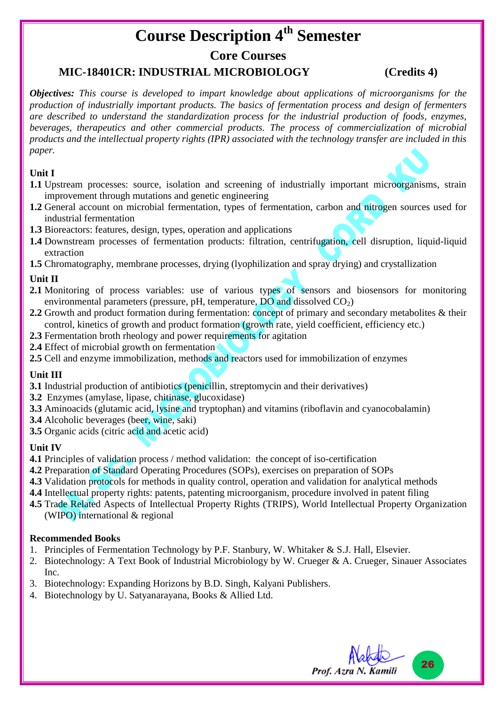# **Course Description 4th Semester**

#### **Core Courses**

### **MIC-18401CR: INDUSTRIAL MICROBIOLOGY (Credits 4)**

*Objectives: This course is developed to impart knowledge about applications of microorganisms for the production of industrially important products. The basics of fermentation process and design of fermenters are described to understand the standardization process for the industrial production of foods, enzymes, beverages, therapeutics and other commercial products. The process of commercialization of microbial products and the intellectual property rights (IPR) associated with the technology transfer are included in this paper.*

#### **Unit I**

- **1.1** Upstream processes: source, isolation and screening of industrially important microorganisms, strain improvement through mutations and genetic engineering
- **1.2** General account on microbial fermentation, types of fermentation, carbon and nitrogen sources used for industrial fermentation
- **1.3** Bioreactors: features, design, types, operation and applications
- **1.4** Downstream processes of fermentation products: filtration, centrifugation, cell disruption, liquid-liquid extraction
- **1.5** Chromatography, membrane processes, drying (lyophilization and spray drying) and crystallization

#### **Unit II**

- **2.1** Monitoring of process variables: use of various types of sensors and biosensors for monitoring environmental parameters (pressure, pH, temperature,  $\overline{DO}$  and dissolved  $CO<sub>2</sub>$ )
- **2.2** Growth and product formation during fermentation: concept of primary and secondary metabolites & their control, kinetics of growth and product formation (growth rate, yield coefficient, efficiency etc.)
- **2.3** Fermentation broth rheology and power requirements for agitation
- **2.4** Effect of microbial growth on fermentation
- **2.5** Cell and enzyme immobilization, methods and reactors used for immobilization of enzymes

#### **Unit III**

- **3.1** Industrial production of antibiotics (penicillin, streptomycin and their derivatives)
- **3.2** Enzymes (amylase, lipase, chitinase, glucoxidase)
- **3.3** Aminoacids (glutamic acid, lysine and tryptophan) and vitamins (riboflavin and cyanocobalamin)
- **3.4** Alcoholic beverages (beer, wine, saki)
- **3.5** Organic acids (citric acid and acetic acid)

#### **Unit IV**

- **4.1** Principles of validation process / method validation: the concept of iso-certification
- **4.2** Preparation of Standard Operating Procedures (SOPs), exercises on preparation of SOPs
- **4.3** Validation protocols for methods in quality control, operation and validation for analytical methods
- **4.4** Intellectual property rights: patents, patenting microorganism, procedure involved in patent filing
- **4.5** Trade Related Aspects of Intellectual Property Rights (TRIPS), World Intellectual Property Organization (WIPO) international & regional

- 1. Principles of Fermentation Technology by P.F. Stanbury, W. Whitaker & S.J. Hall, Elsevier.
- 2. Biotechnology: A Text Book of Industrial Microbiology by W. Crueger & A. Crueger, Sinauer Associates Inc.
- 3. Biotechnology: Expanding Horizons by B.D. Singh, Kalyani Publishers.
- 4. Biotechnology by U. Satyanarayana, Books & Allied Ltd.

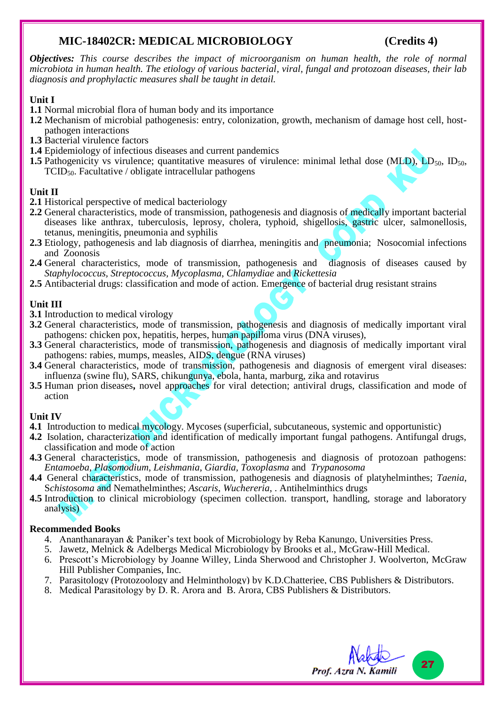### **MIC-18402CR: MEDICAL MICROBIOLOGY (Credits 4)**

*Objectives: This course describes the impact of microorganism on human health, the role of normal microbiota in human health. The etiology of various bacterial, viral, fungal and protozoan diseases, their lab diagnosis and prophylactic measures shall be taught in detail.* 

#### **Unit I**

- **1.1** Normal microbial flora of human body and its importance
- **1.2** Mechanism of microbial pathogenesis: entry, colonization, growth, mechanism of damage host cell, hostpathogen interactions
- **1.3** Bacterial virulence factors
- **1.4** Epidemiology of infectious diseases and current pandemics
- **1.5** Pathogenicity vs virulence; quantitative measures of virulence: minimal lethal dose (MLD),  $LD_{50}$ ,  $ID_{50}$ , TCID50. Facultative / obligate intracellular pathogens

#### **Unit II**

- **2.1** Historical perspective of medical bacteriology
- **2.2** General characteristics, mode of transmission, pathogenesis and diagnosis of medically important bacterial diseases like anthrax, tuberculosis, leprosy, cholera, typhoid, shigellosis, gastric ulcer, salmonellosis, tetanus, meningitis, pneumonia and syphilis
- 2.3 Etiology, pathogenesis and lab diagnosis of diarrhea, meningitis and pneumonia; Nosocomial infections and Zoonosis
- **2.4** General characteristics, mode of transmission, pathogenesis and diagnosis of diseases caused by *Staphylococcus, Streptococcus, Mycoplasma*, *Chlamydiae* and *Rickettesia*
- **2.5** Antibacterial drugs: classification and mode of action. Emergence of bacterial drug resistant strains

#### **Unit III**

- **3.1** Introduction to medical virology
- **3.2** General characteristics, mode of transmission, pathogenesis and diagnosis of medically important viral pathogens: chicken pox, hepatitis, herpes, human papilloma virus (DNA viruses),
- **3.3** General characteristics, mode of transmission, pathogenesis and diagnosis of medically important viral pathogens: rabies, mumps, measles, AIDS, dengue (RNA viruses)
- **3.4** General characteristics, mode of transmission, pathogenesis and diagnosis of emergent viral diseases: influenza (swine flu), SARS, chikungunya, ebola, hanta, marburg, zika and rotavirus
- **3.5** Human prion diseases**,** novel approaches for viral detection; antiviral drugs, classification and mode of action

#### **Unit IV**

- **4.1** Introduction to medical mycology. Mycoses (superficial, subcutaneous, systemic and opportunistic)
- **4.2** Isolation, characterization and identification of medically important fungal pathogens. Antifungal drugs, classification and mode of action
- **4.3** General characteristics, mode of transmission, pathogenesis and diagnosis of protozoan pathogens: *Entamoeba*, *Plasomodium*, *Leishmania*, *Giardia, Toxoplasma* and *Trypanosoma*
- **4.4** General characteristics, mode of transmission, pathogenesis and diagnosis of platyhelminthes; *Taenia*, S*chistosoma* and Nemathelminthes; *Ascaris*, *Wuchereria*, . Antihelminthics drugs
- **4.5** Introduction to clinical microbiology (specimen collection. transport, handling, storage and laboratory analysis)

- 4. Ananthanarayan & Paniker's text book of Microbiology by Reba Kanungo, Universities Press.
- 5. Jawetz, Melnick & Adelbergs Medical Microbiology by Brooks et al., McGraw-Hill Medical.
- 6. Prescott's Microbiology by Joanne Willey, Linda Sherwood and Christopher J. Woolverton, McGraw Hill Publisher Companies, Inc.
- 7. Parasitology (Protozoology and Helminthology) by K.D.Chatterjee, CBS Publishers & Distributors.
- 8. Medical Parasitology by D. R. Arora and B. Arora, CBS Publishers & Distributors.

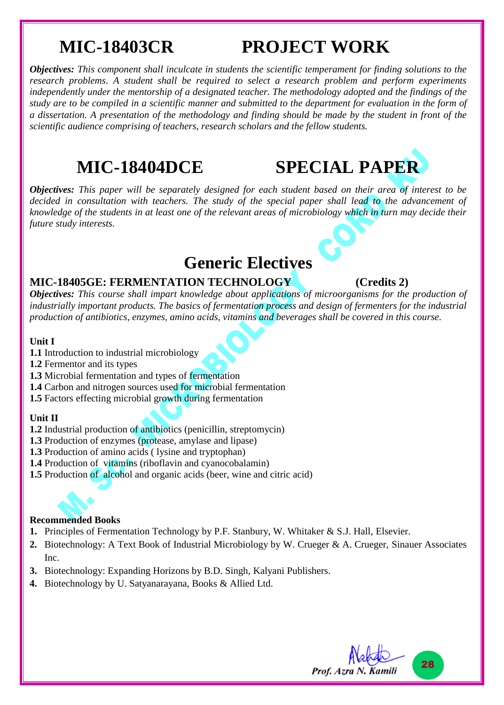# **MIC-18403CR PROJECT WORK**

*Objectives: This component shall inculcate in students the scientific temperament for finding solutions to the research problems. A student shall be required to select a research problem and perform experiments independently under the mentorship of a designated teacher. The methodology adopted and the findings of the study are to be compiled in a scientific manner and submitted to the department for evaluation in the form of a dissertation. A presentation of the methodology and finding should be made by the student in front of the scientific audience comprising of teachers, research scholars and the fellow students.*

**MIC-18404DCE SPECIAL PAPER**

 $\mathbf{G}$ 

*Objectives: This paper will be separately designed for each student based on their area of interest to be decided in consultation with teachers. The study of the special paper shall lead to the advancement of knowledge of the students in at least one of the relevant areas of microbiology which in turn may decide their future study interests.*

# **Generic Electives**

#### **MIC-18405GE: FERMENTATION TECHNOLOGY (Credits 2)**

*Objectives: This course shall impart knowledge about applications of microorganisms for the production of industrially important products. The basics of fermentation process and design of fermenters for the industrial production of antibiotics, enzymes, amino acids, vitamins and beverages shall be covered in this course.*

#### **Unit I**

- **1.1** Introduction to industrial microbiology
- **1.2** Fermentor and its types
- **1.3** Microbial fermentation and types of fermentation
- **1.4** Carbon and nitrogen sources used for microbial fermentation
- **1.5** Factors effecting microbial growth during fermentation

#### **Unit II**

- **1.2** Industrial production of antibiotics (penicillin, streptomycin)
- **1.3** Production of enzymes (protease, amylase and lipase)
- **1.3** Production of amino acids ( lysine and tryptophan)
- **1.4** Production of vitamins (riboflavin and cyanocobalamin)
- **1.5** Production of alcohol and organic acids (beer, wine and citric acid)

- **1.** Principles of Fermentation Technology by P.F. Stanbury, W. Whitaker & S.J. Hall, Elsevier.
- **2.** Biotechnology: A Text Book of Industrial Microbiology by W. Crueger & A. Crueger, Sinauer Associates Inc.
- **3.** Biotechnology: Expanding Horizons by B.D. Singh, Kalyani Publishers.
- **4.** Biotechnology by U. Satyanarayana, Books & Allied Ltd.